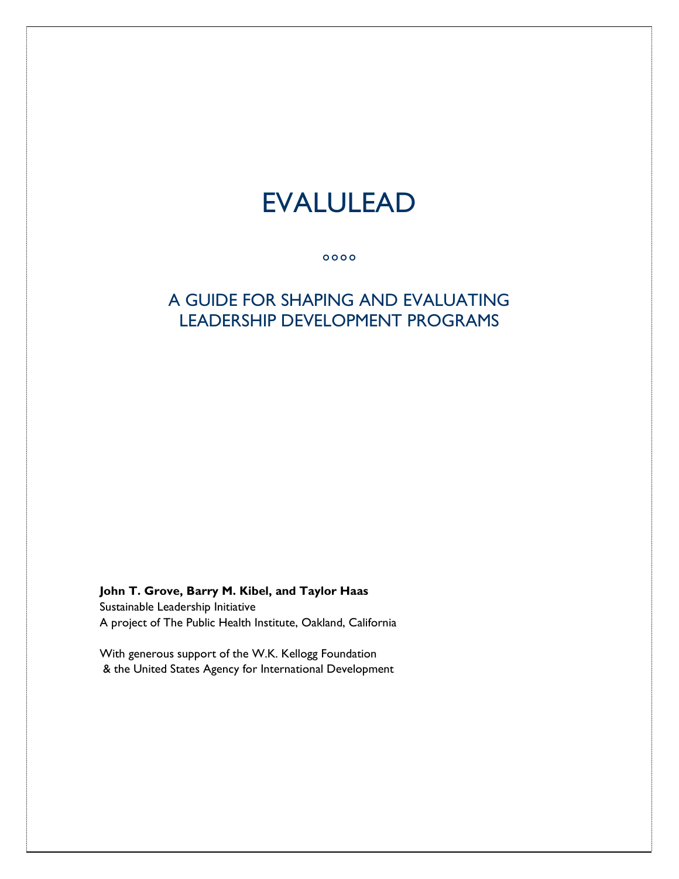# EVALULEAD

 $0000$ 

### A GUIDE FOR SHAPING AND EVALUATING LEADERSHIP DEVELOPMENT PROGRAMS

**John T. Grove, Barry M. Kibel, and Taylor Haas** 

Sustainable Leadership Initiative A project of The Public Health Institute, Oakland, California

With generous support of the W.K. Kellogg Foundation & the United States Agency for International Development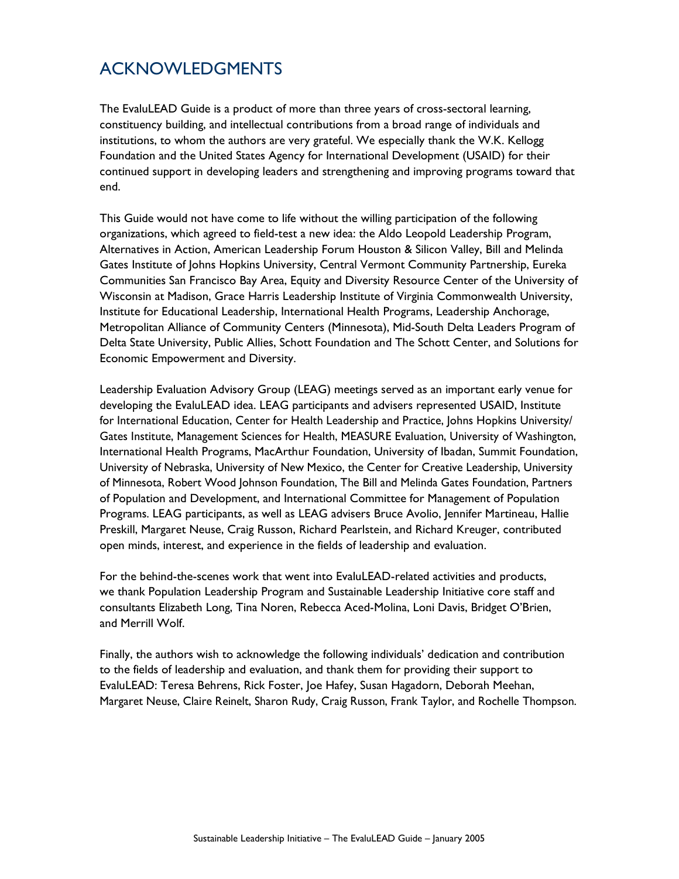## ACKNOWLEDGMENTS

The EvaluLEAD Guide is a product of more than three years of cross-sectoral learning, constituency building, and intellectual contributions from a broad range of individuals and institutions, to whom the authors are very grateful. We especially thank the W.K. Kellogg Foundation and the United States Agency for International Development (USAID) for their continued support in developing leaders and strengthening and improving programs toward that end.

This Guide would not have come to life without the willing participation of the following organizations, which agreed to field-test a new idea: the Aldo Leopold Leadership Program, Alternatives in Action, American Leadership Forum Houston & Silicon Valley, Bill and Melinda Gates Institute of Johns Hopkins University, Central Vermont Community Partnership, Eureka Communities San Francisco Bay Area, Equity and Diversity Resource Center of the University of Wisconsin at Madison, Grace Harris Leadership Institute of Virginia Commonwealth University, Institute for Educational Leadership, International Health Programs, Leadership Anchorage, Metropolitan Alliance of Community Centers (Minnesota), Mid-South Delta Leaders Program of Delta State University, Public Allies, Schott Foundation and The Schott Center, and Solutions for Economic Empowerment and Diversity.

Leadership Evaluation Advisory Group (LEAG) meetings served as an important early venue for developing the EvaluLEAD idea. LEAG participants and advisers represented USAID, Institute for International Education, Center for Health Leadership and Practice, Johns Hopkins University/ Gates Institute, Management Sciences for Health, MEASURE Evaluation, University of Washington, International Health Programs, MacArthur Foundation, University of Ibadan, Summit Foundation, University of Nebraska, University of New Mexico, the Center for Creative Leadership, University of Minnesota, Robert Wood Johnson Foundation, The Bill and Melinda Gates Foundation, Partners of Population and Development, and International Committee for Management of Population Programs. LEAG participants, as well as LEAG advisers Bruce Avolio, Jennifer Martineau, Hallie Preskill, Margaret Neuse, Craig Russon, Richard Pearlstein, and Richard Kreuger, contributed open minds, interest, and experience in the fields of leadership and evaluation.

For the behind-the-scenes work that went into EvaluLEAD-related activities and products, we thank Population Leadership Program and Sustainable Leadership Initiative core staff and consultants Elizabeth Long, Tina Noren, Rebecca Aced-Molina, Loni Davis, Bridget O'Brien, and Merrill Wolf.

Finally, the authors wish to acknowledge the following individuals' dedication and contribution to the fields of leadership and evaluation, and thank them for providing their support to EvaluLEAD: Teresa Behrens, Rick Foster, Joe Hafey, Susan Hagadorn, Deborah Meehan, Margaret Neuse, Claire Reinelt, Sharon Rudy, Craig Russon, Frank Taylor, and Rochelle Thompson.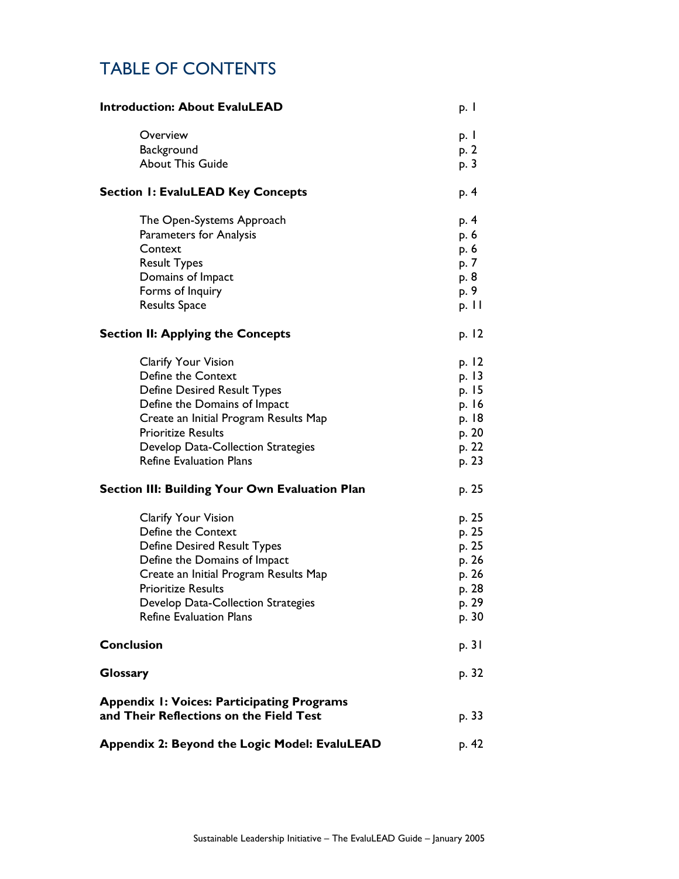## TABLE OF CONTENTS

| <b>Introduction: About EvaluLEAD</b>                                                                                                                                                                                                                          | p. 1                                                                 |
|---------------------------------------------------------------------------------------------------------------------------------------------------------------------------------------------------------------------------------------------------------------|----------------------------------------------------------------------|
| Overview<br>Background<br><b>About This Guide</b>                                                                                                                                                                                                             | p. I<br>p. 2<br>p. 3                                                 |
| <b>Section 1: EvaluLEAD Key Concepts</b>                                                                                                                                                                                                                      | p. 4                                                                 |
| The Open-Systems Approach<br><b>Parameters for Analysis</b><br>Context<br><b>Result Types</b><br>Domains of Impact<br>Forms of Inquiry<br><b>Results Space</b>                                                                                                | p. 4<br>p. 6<br>p. 6<br>p. 7<br>p. 8<br>p. 9<br>p. $  \cdot  $       |
| <b>Section II: Applying the Concepts</b>                                                                                                                                                                                                                      | p. 12                                                                |
| Clarify Your Vision<br>Define the Context<br><b>Define Desired Result Types</b><br>Define the Domains of Impact<br>Create an Initial Program Results Map<br><b>Prioritize Results</b><br>Develop Data-Collection Strategies<br><b>Refine Evaluation Plans</b> | p. 12<br>p. 13<br>p. 15<br>p. 16<br>p. 18<br>p. 20<br>p. 22<br>p. 23 |
| <b>Section III: Building Your Own Evaluation Plan</b>                                                                                                                                                                                                         | p. 25                                                                |
| Clarify Your Vision<br>Define the Context<br><b>Define Desired Result Types</b><br>Define the Domains of Impact<br>Create an Initial Program Results Map<br><b>Prioritize Results</b><br>Develop Data-Collection Strategies<br><b>Refine Evaluation Plans</b> | p. 25<br>p. 25<br>p. 25<br>p. 26<br>p. 26<br>p. 28<br>p. 29<br>p. 30 |
| <b>Conclusion</b>                                                                                                                                                                                                                                             | p. 31                                                                |
| <b>Glossary</b>                                                                                                                                                                                                                                               | p. 32                                                                |
| <b>Appendix I: Voices: Participating Programs</b><br>and Their Reflections on the Field Test                                                                                                                                                                  | p. 33                                                                |
| Appendix 2: Beyond the Logic Model: EvaluLEAD                                                                                                                                                                                                                 | p. 42                                                                |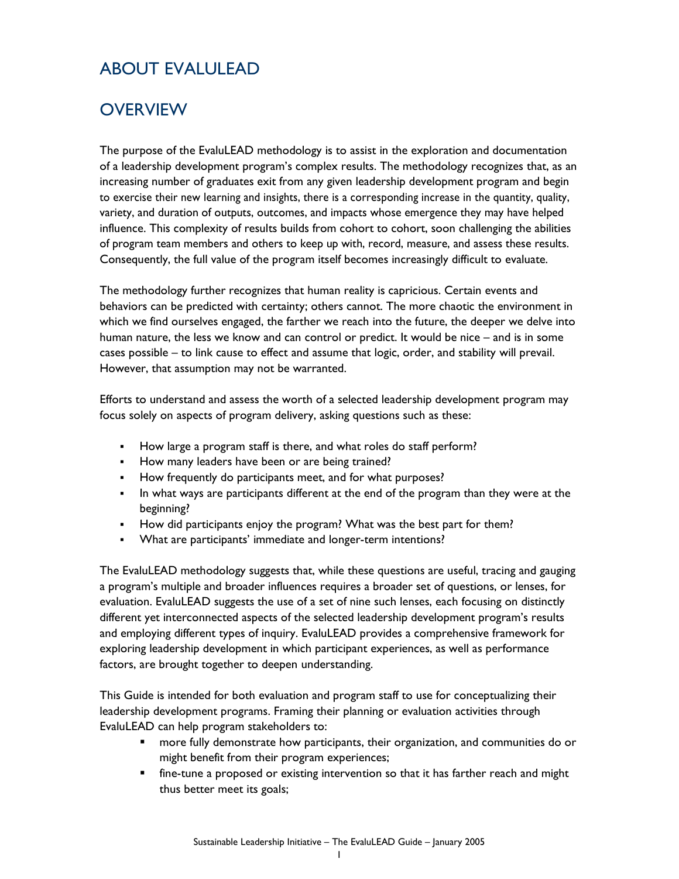## ABOUT EVALULEAD

## **OVERVIEW**

The purpose of the EvaluLEAD methodology is to assist in the exploration and documentation of a leadership development program's complex results. The methodology recognizes that, as an increasing number of graduates exit from any given leadership development program and begin to exercise their new learning and insights, there is a corresponding increase in the quantity, quality, variety, and duration of outputs, outcomes, and impacts whose emergence they may have helped influence. This complexity of results builds from cohort to cohort, soon challenging the abilities of program team members and others to keep up with, record, measure, and assess these results. Consequently, the full value of the program itself becomes increasingly difficult to evaluate.

The methodology further recognizes that human reality is capricious. Certain events and behaviors can be predicted with certainty; others cannot. The more chaotic the environment in which we find ourselves engaged, the farther we reach into the future, the deeper we delve into human nature, the less we know and can control or predict. It would be nice – and is in some cases possible – to link cause to effect and assume that logic, order, and stability will prevail. However, that assumption may not be warranted.

Efforts to understand and assess the worth of a selected leadership development program may focus solely on aspects of program delivery, asking questions such as these:

- How large a program staff is there, and what roles do staff perform?
- How many leaders have been or are being trained?
- How frequently do participants meet, and for what purposes?
- In what ways are participants different at the end of the program than they were at the beginning?
- How did participants enjoy the program? What was the best part for them?
- What are participants' immediate and longer-term intentions?

The EvaluLEAD methodology suggests that, while these questions are useful, tracing and gauging a program's multiple and broader influences requires a broader set of questions, or lenses, for evaluation. EvaluLEAD suggests the use of a set of nine such lenses, each focusing on distinctly different yet interconnected aspects of the selected leadership development program's results and employing different types of inquiry. EvaluLEAD provides a comprehensive framework for exploring leadership development in which participant experiences, as well as performance factors, are brought together to deepen understanding.

This Guide is intended for both evaluation and program staff to use for conceptualizing their leadership development programs. Framing their planning or evaluation activities through EvaluLEAD can help program stakeholders to:

- more fully demonstrate how participants, their organization, and communities do or might benefit from their program experiences;
- fine-tune a proposed or existing intervention so that it has farther reach and might thus better meet its goals;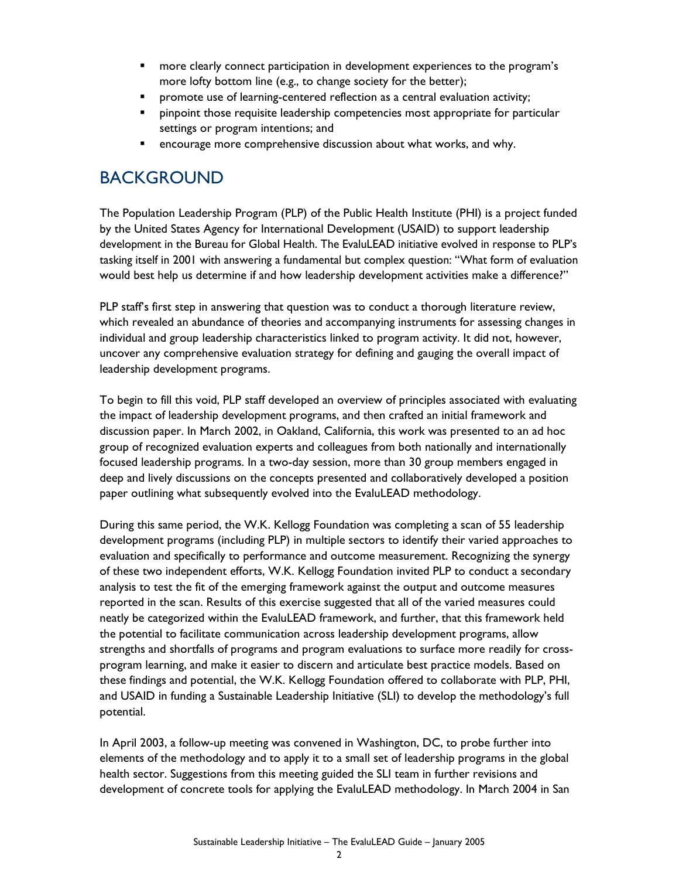- **•** more clearly connect participation in development experiences to the program's more lofty bottom line (e.g., to change society for the better);
- **•** promote use of learning-centered reflection as a central evaluation activity;
- **PEDITE:** pinpoint those requisite leadership competencies most appropriate for particular settings or program intentions; and
- **E** encourage more comprehensive discussion about what works, and why.

## BACKGROUND

The Population Leadership Program (PLP) of the Public Health Institute (PHI) is a project funded by the United States Agency for International Development (USAID) to support leadership development in the Bureau for Global Health. The EvaluLEAD initiative evolved in response to PLP's tasking itself in 2001 with answering a fundamental but complex question: "What form of evaluation would best help us determine if and how leadership development activities make a difference?"

PLP staff's first step in answering that question was to conduct a thorough literature review, which revealed an abundance of theories and accompanying instruments for assessing changes in individual and group leadership characteristics linked to program activity. It did not, however, uncover any comprehensive evaluation strategy for defining and gauging the overall impact of leadership development programs.

To begin to fill this void, PLP staff developed an overview of principles associated with evaluating the impact of leadership development programs, and then crafted an initial framework and discussion paper. In March 2002, in Oakland, California, this work was presented to an ad hoc group of recognized evaluation experts and colleagues from both nationally and internationally focused leadership programs. In a two-day session, more than 30 group members engaged in deep and lively discussions on the concepts presented and collaboratively developed a position paper outlining what subsequently evolved into the EvaluLEAD methodology.

During this same period, the W.K. Kellogg Foundation was completing a scan of 55 leadership development programs (including PLP) in multiple sectors to identify their varied approaches to evaluation and specifically to performance and outcome measurement. Recognizing the synergy of these two independent efforts, W.K. Kellogg Foundation invited PLP to conduct a secondary analysis to test the fit of the emerging framework against the output and outcome measures reported in the scan. Results of this exercise suggested that all of the varied measures could neatly be categorized within the EvaluLEAD framework, and further, that this framework held the potential to facilitate communication across leadership development programs, allow strengths and shortfalls of programs and program evaluations to surface more readily for crossprogram learning, and make it easier to discern and articulate best practice models. Based on these findings and potential, the W.K. Kellogg Foundation offered to collaborate with PLP, PHI, and USAID in funding a Sustainable Leadership Initiative (SLI) to develop the methodology's full potential.

In April 2003, a follow-up meeting was convened in Washington, DC, to probe further into elements of the methodology and to apply it to a small set of leadership programs in the global health sector. Suggestions from this meeting guided the SLI team in further revisions and development of concrete tools for applying the EvaluLEAD methodology. In March 2004 in San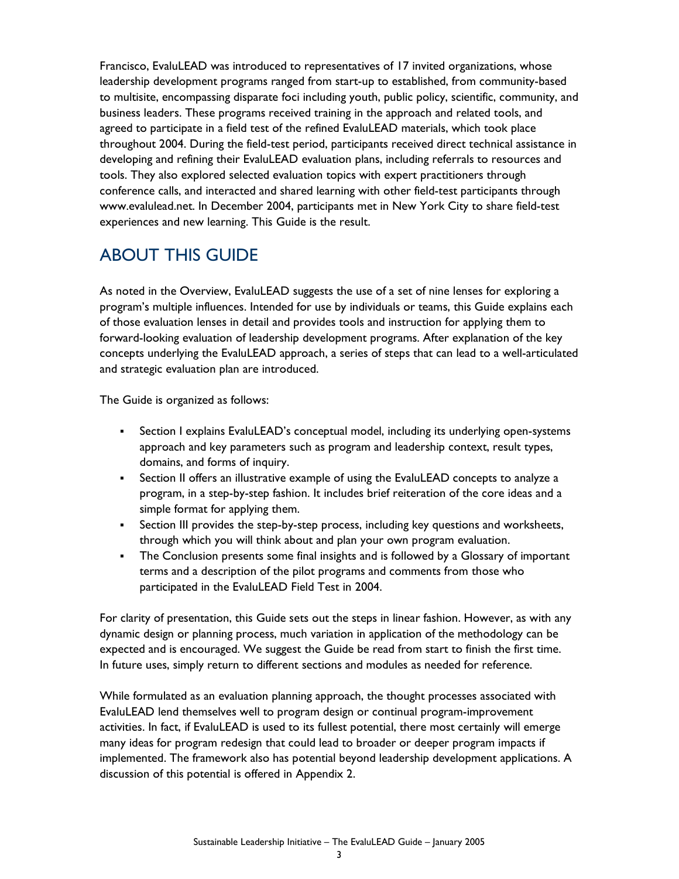Francisco, EvaluLEAD was introduced to representatives of 17 invited organizations, whose leadership development programs ranged from start-up to established, from community-based to multisite, encompassing disparate foci including youth, public policy, scientific, community, and business leaders. These programs received training in the approach and related tools, and agreed to participate in a field test of the refined EvaluLEAD materials, which took place throughout 2004. During the field-test period, participants received direct technical assistance in developing and refining their EvaluLEAD evaluation plans, including referrals to resources and tools. They also explored selected evaluation topics with expert practitioners through conference calls, and interacted and shared learning with other field-test participants through www.evalulead.net. In December 2004, participants met in New York City to share field-test experiences and new learning. This Guide is the result.

## ABOUT THIS GUIDE

As noted in the Overview, EvaluLEAD suggests the use of a set of nine lenses for exploring a program's multiple influences. Intended for use by individuals or teams, this Guide explains each of those evaluation lenses in detail and provides tools and instruction for applying them to forward-looking evaluation of leadership development programs. After explanation of the key concepts underlying the EvaluLEAD approach, a series of steps that can lead to a well-articulated and strategic evaluation plan are introduced.

The Guide is organized as follows:

- Section I explains EvaluLEAD's conceptual model, including its underlying open-systems approach and key parameters such as program and leadership context, result types, domains, and forms of inquiry.
- Section II offers an illustrative example of using the EvaluLEAD concepts to analyze a program, in a step-by-step fashion. It includes brief reiteration of the core ideas and a simple format for applying them.
- Section III provides the step-by-step process, including key questions and worksheets, through which you will think about and plan your own program evaluation.
- The Conclusion presents some final insights and is followed by a Glossary of important terms and a description of the pilot programs and comments from those who participated in the EvaluLEAD Field Test in 2004.

For clarity of presentation, this Guide sets out the steps in linear fashion. However, as with any dynamic design or planning process, much variation in application of the methodology can be expected and is encouraged. We suggest the Guide be read from start to finish the first time. In future uses, simply return to different sections and modules as needed for reference.

While formulated as an evaluation planning approach, the thought processes associated with EvaluLEAD lend themselves well to program design or continual program-improvement activities. In fact, if EvaluLEAD is used to its fullest potential, there most certainly will emerge many ideas for program redesign that could lead to broader or deeper program impacts if implemented. The framework also has potential beyond leadership development applications. A discussion of this potential is offered in Appendix 2.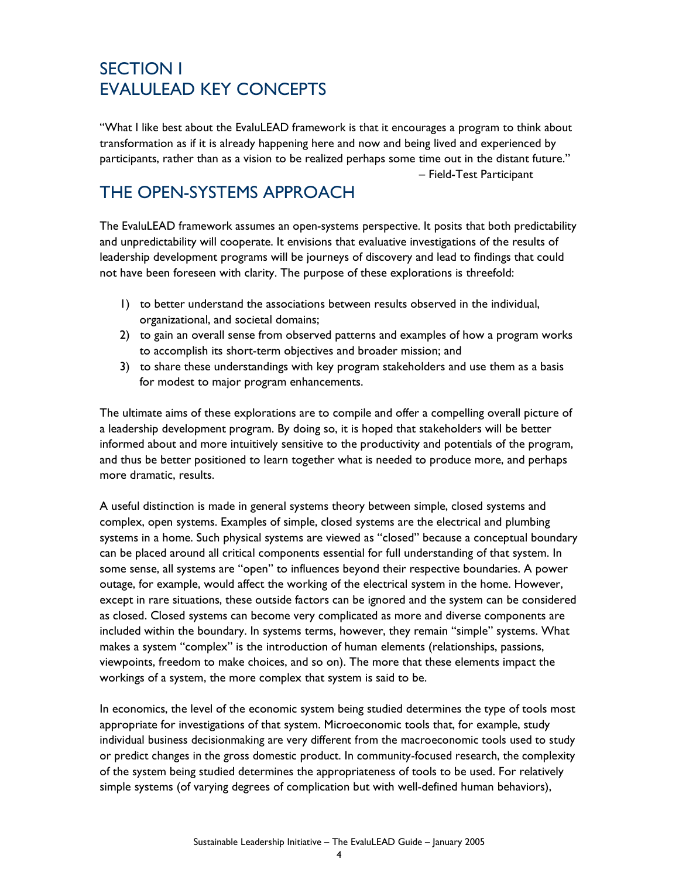## SECTION I EVALULEAD KEY CONCEPTS

"What I like best about the EvaluLEAD framework is that it encourages a program to think about transformation as if it is already happening here and now and being lived and experienced by participants, rather than as a vision to be realized perhaps some time out in the distant future." – Field-Test Participant

## THE OPEN-SYSTEMS APPROACH

The EvaluLEAD framework assumes an open-systems perspective. It posits that both predictability and unpredictability will cooperate. It envisions that evaluative investigations of the results of leadership development programs will be journeys of discovery and lead to findings that could not have been foreseen with clarity. The purpose of these explorations is threefold:

- 1) to better understand the associations between results observed in the individual, organizational, and societal domains;
- 2) to gain an overall sense from observed patterns and examples of how a program works to accomplish its short-term objectives and broader mission; and
- 3) to share these understandings with key program stakeholders and use them as a basis for modest to major program enhancements.

The ultimate aims of these explorations are to compile and offer a compelling overall picture of a leadership development program. By doing so, it is hoped that stakeholders will be better informed about and more intuitively sensitive to the productivity and potentials of the program, and thus be better positioned to learn together what is needed to produce more, and perhaps more dramatic, results.

A useful distinction is made in general systems theory between simple, closed systems and complex, open systems. Examples of simple, closed systems are the electrical and plumbing systems in a home. Such physical systems are viewed as "closed" because a conceptual boundary can be placed around all critical components essential for full understanding of that system. In some sense, all systems are "open" to influences beyond their respective boundaries. A power outage, for example, would affect the working of the electrical system in the home. However, except in rare situations, these outside factors can be ignored and the system can be considered as closed. Closed systems can become very complicated as more and diverse components are included within the boundary. In systems terms, however, they remain "simple" systems. What makes a system "complex" is the introduction of human elements (relationships, passions, viewpoints, freedom to make choices, and so on). The more that these elements impact the workings of a system, the more complex that system is said to be.

In economics, the level of the economic system being studied determines the type of tools most appropriate for investigations of that system. Microeconomic tools that, for example, study individual business decisionmaking are very different from the macroeconomic tools used to study or predict changes in the gross domestic product. In community-focused research, the complexity of the system being studied determines the appropriateness of tools to be used. For relatively simple systems (of varying degrees of complication but with well-defined human behaviors),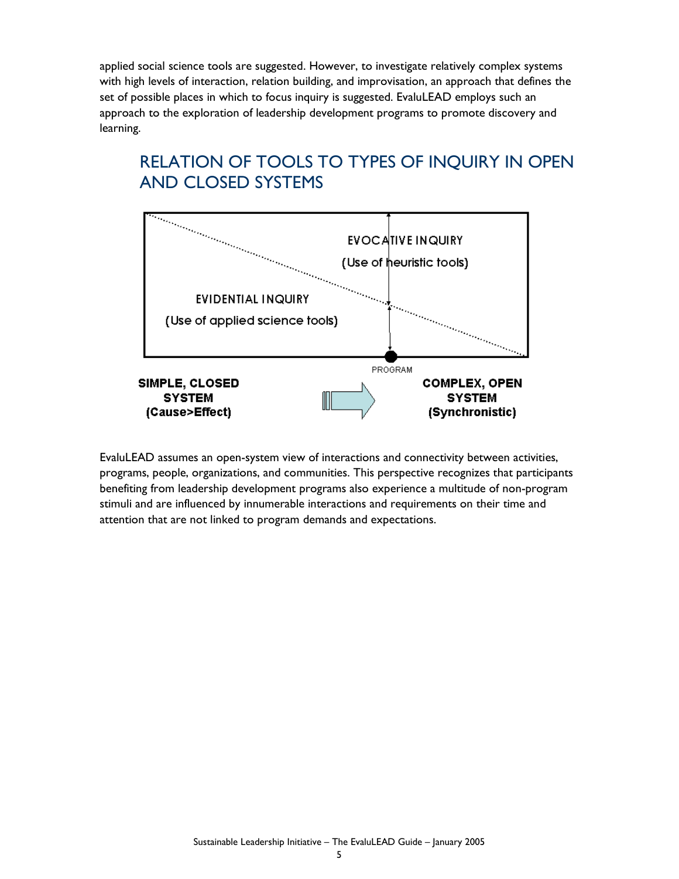applied social science tools are suggested. However, to investigate relatively complex systems with high levels of interaction, relation building, and improvisation, an approach that defines the set of possible places in which to focus inquiry is suggested. EvaluLEAD employs such an approach to the exploration of leadership development programs to promote discovery and learning.

## RELATION OF TOOLS TO TYPES OF INQUIRY IN OPEN AND CLOSED SYSTEMS



EvaluLEAD assumes an open-system view of interactions and connectivity between activities, programs, people, organizations, and communities. This perspective recognizes that participants benefiting from leadership development programs also experience a multitude of non-program stimuli and are influenced by innumerable interactions and requirements on their time and attention that are not linked to program demands and expectations.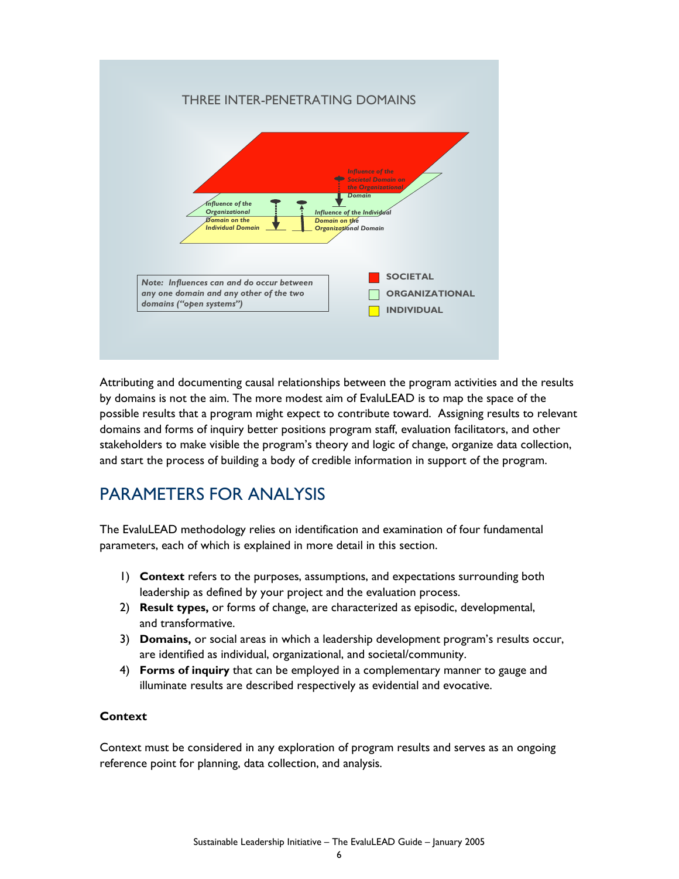### THREE INTER-PENETRATING DOMAINS



Attributing and documenting causal relationships between the program activities and the results by domains is not the aim. The more modest aim of EvaluLEAD is to map the space of the possible results that a program might expect to contribute toward. Assigning results to relevant domains and forms of inquiry better positions program staff, evaluation facilitators, and other stakeholders to make visible the program's theory and logic of change, organize data collection, and start the process of building a body of credible information in support of the program.

### PARAMETERS FOR ANALYSIS

The EvaluLEAD methodology relies on identification and examination of four fundamental parameters, each of which is explained in more detail in this section.

- 1) **Context** refers to the purposes, assumptions, and expectations surrounding both leadership as defined by your project and the evaluation process.
- 2) **Result types,** or forms of change, are characterized as episodic, developmental, and transformative.
- 3) **Domains,** or social areas in which a leadership development program's results occur, are identified as individual, organizational, and societal/community.
- 4) **Forms of inquiry** that can be employed in a complementary manner to gauge and illuminate results are described respectively as evidential and evocative.

### **Context**

Context must be considered in any exploration of program results and serves as an ongoing reference point for planning, data collection, and analysis.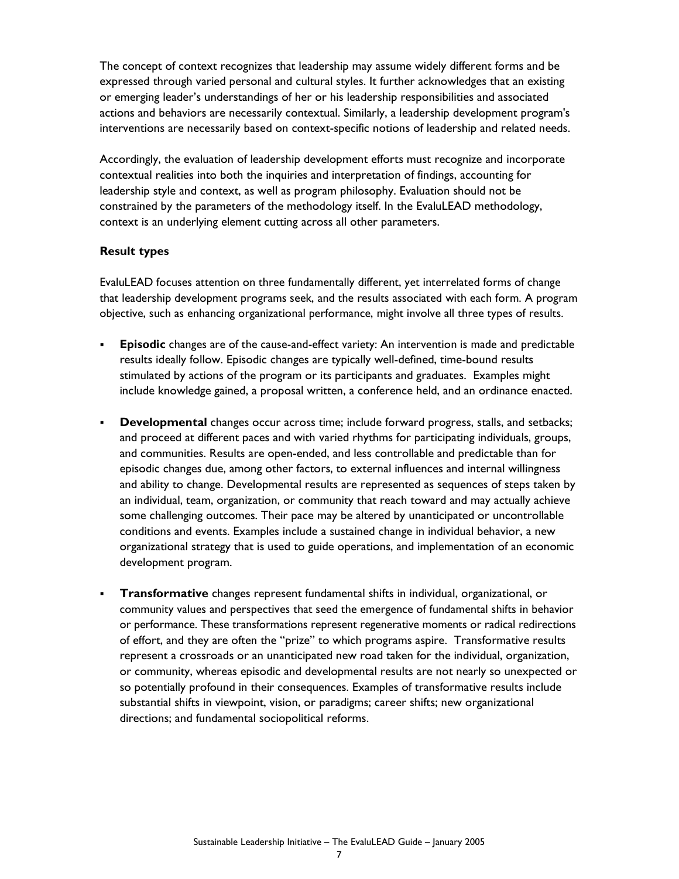The concept of context recognizes that leadership may assume widely different forms and be expressed through varied personal and cultural styles. It further acknowledges that an existing or emerging leader's understandings of her or his leadership responsibilities and associated actions and behaviors are necessarily contextual. Similarly, a leadership development program's interventions are necessarily based on context-specific notions of leadership and related needs.

Accordingly, the evaluation of leadership development efforts must recognize and incorporate contextual realities into both the inquiries and interpretation of findings, accounting for leadership style and context, as well as program philosophy. Evaluation should not be constrained by the parameters of the methodology itself. In the EvaluLEAD methodology, context is an underlying element cutting across all other parameters.

### **Result types**

EvaluLEAD focuses attention on three fundamentally different, yet interrelated forms of change that leadership development programs seek, and the results associated with each form. A program objective, such as enhancing organizational performance, might involve all three types of results.

- **Episodic** changes are of the cause-and-effect variety: An intervention is made and predictable results ideally follow. Episodic changes are typically well-defined, time-bound results stimulated by actions of the program or its participants and graduates. Examples might include knowledge gained, a proposal written, a conference held, and an ordinance enacted.
- **Developmental** changes occur across time; include forward progress, stalls, and setbacks; and proceed at different paces and with varied rhythms for participating individuals, groups, and communities. Results are open-ended, and less controllable and predictable than for episodic changes due, among other factors, to external influences and internal willingness and ability to change. Developmental results are represented as sequences of steps taken by an individual, team, organization, or community that reach toward and may actually achieve some challenging outcomes. Their pace may be altered by unanticipated or uncontrollable conditions and events. Examples include a sustained change in individual behavior, a new organizational strategy that is used to guide operations, and implementation of an economic development program.
- **Transformative** changes represent fundamental shifts in individual, organizational, or community values and perspectives that seed the emergence of fundamental shifts in behavior or performance. These transformations represent regenerative moments or radical redirections of effort, and they are often the "prize" to which programs aspire. Transformative results represent a crossroads or an unanticipated new road taken for the individual, organization, or community, whereas episodic and developmental results are not nearly so unexpected or so potentially profound in their consequences. Examples of transformative results include substantial shifts in viewpoint, vision, or paradigms; career shifts; new organizational directions; and fundamental sociopolitical reforms.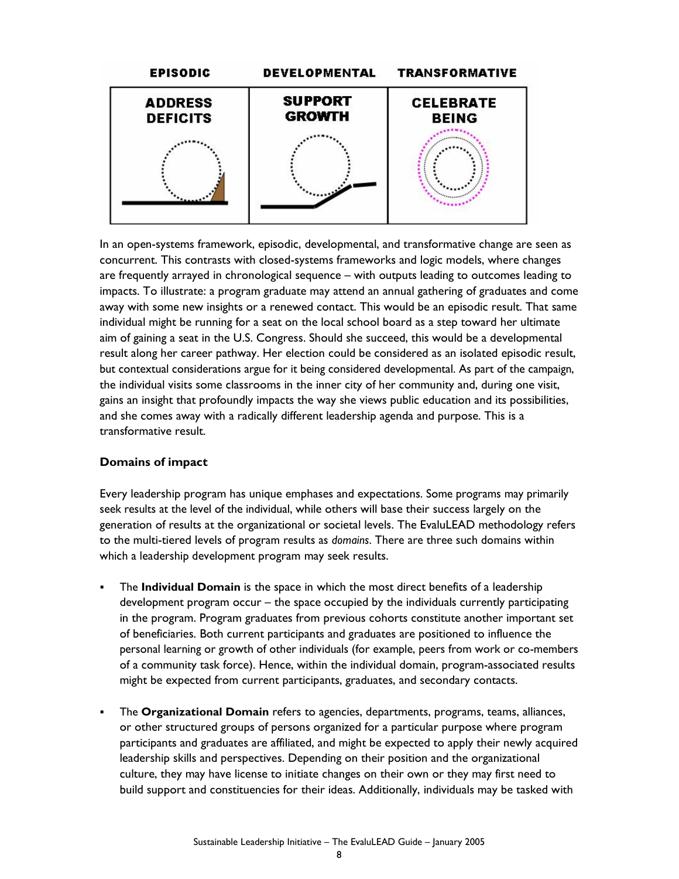

In an open-systems framework, episodic, developmental, and transformative change are seen as concurrent. This contrasts with closed-systems frameworks and logic models, where changes are frequently arrayed in chronological sequence – with outputs leading to outcomes leading to impacts. To illustrate: a program graduate may attend an annual gathering of graduates and come away with some new insights or a renewed contact. This would be an episodic result. That same individual might be running for a seat on the local school board as a step toward her ultimate aim of gaining a seat in the U.S. Congress. Should she succeed, this would be a developmental result along her career pathway. Her election could be considered as an isolated episodic result, but contextual considerations argue for it being considered developmental. As part of the campaign, the individual visits some classrooms in the inner city of her community and, during one visit, gains an insight that profoundly impacts the way she views public education and its possibilities, and she comes away with a radically different leadership agenda and purpose. This is a transformative result.

### **Domains of impact**

Every leadership program has unique emphases and expectations. Some programs may primarily seek results at the level of the individual, while others will base their success largely on the generation of results at the organizational or societal levels. The EvaluLEAD methodology refers to the multi-tiered levels of program results as *domains*. There are three such domains within which a leadership development program may seek results.

- The **Individual Domain** is the space in which the most direct benefits of a leadership development program occur – the space occupied by the individuals currently participating in the program. Program graduates from previous cohorts constitute another important set of beneficiaries. Both current participants and graduates are positioned to influence the personal learning or growth of other individuals (for example, peers from work or co-members of a community task force). Hence, within the individual domain, program-associated results might be expected from current participants, graduates, and secondary contacts.
- The **Organizational Domain** refers to agencies, departments, programs, teams, alliances, or other structured groups of persons organized for a particular purpose where program participants and graduates are affiliated, and might be expected to apply their newly acquired leadership skills and perspectives. Depending on their position and the organizational culture, they may have license to initiate changes on their own or they may first need to build support and constituencies for their ideas. Additionally, individuals may be tasked with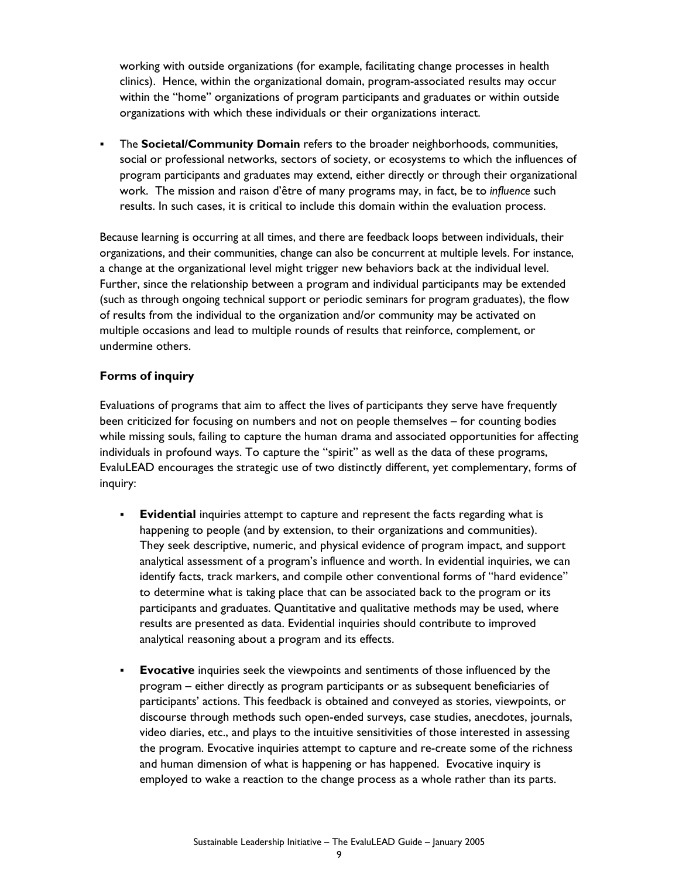working with outside organizations (for example, facilitating change processes in health clinics). Hence, within the organizational domain, program-associated results may occur within the "home" organizations of program participants and graduates or within outside organizations with which these individuals or their organizations interact.

 The **Societal/Community Domain** refers to the broader neighborhoods, communities, social or professional networks, sectors of society, or ecosystems to which the influences of program participants and graduates may extend, either directly or through their organizational work. The mission and raison d'être of many programs may, in fact, be to *influence* such results. In such cases, it is critical to include this domain within the evaluation process.

Because learning is occurring at all times, and there are feedback loops between individuals, their organizations, and their communities, change can also be concurrent at multiple levels. For instance, a change at the organizational level might trigger new behaviors back at the individual level. Further, since the relationship between a program and individual participants may be extended (such as through ongoing technical support or periodic seminars for program graduates), the flow of results from the individual to the organization and/or community may be activated on multiple occasions and lead to multiple rounds of results that reinforce, complement, or undermine others.

### **Forms of inquiry**

Evaluations of programs that aim to affect the lives of participants they serve have frequently been criticized for focusing on numbers and not on people themselves – for counting bodies while missing souls, failing to capture the human drama and associated opportunities for affecting individuals in profound ways. To capture the "spirit" as well as the data of these programs, EvaluLEAD encourages the strategic use of two distinctly different, yet complementary, forms of inquiry:

- **Evidential** inquiries attempt to capture and represent the facts regarding what is happening to people (and by extension, to their organizations and communities). They seek descriptive, numeric, and physical evidence of program impact, and support analytical assessment of a program's influence and worth. In evidential inquiries, we can identify facts, track markers, and compile other conventional forms of "hard evidence" to determine what is taking place that can be associated back to the program or its participants and graduates. Quantitative and qualitative methods may be used, where results are presented as data. Evidential inquiries should contribute to improved analytical reasoning about a program and its effects.
- **Evocative** inquiries seek the viewpoints and sentiments of those influenced by the program – either directly as program participants or as subsequent beneficiaries of participants' actions. This feedback is obtained and conveyed as stories, viewpoints, or discourse through methods such open-ended surveys, case studies, anecdotes, journals, video diaries, etc., and plays to the intuitive sensitivities of those interested in assessing the program. Evocative inquiries attempt to capture and re-create some of the richness and human dimension of what is happening or has happened. Evocative inquiry is employed to wake a reaction to the change process as a whole rather than its parts.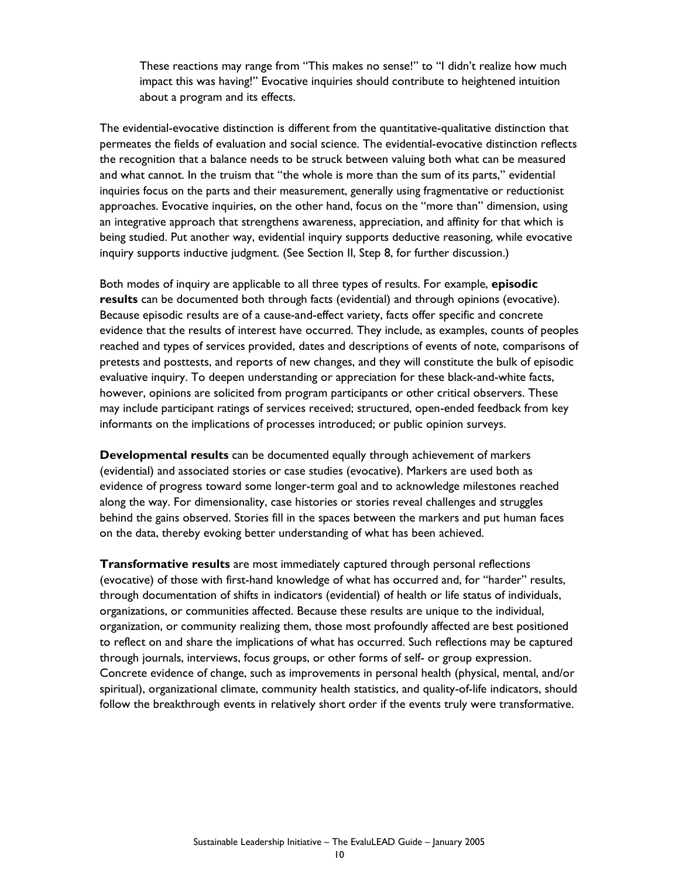These reactions may range from "This makes no sense!" to "I didn't realize how much impact this was having!" Evocative inquiries should contribute to heightened intuition about a program and its effects.

The evidential-evocative distinction is different from the quantitative-qualitative distinction that permeates the fields of evaluation and social science. The evidential-evocative distinction reflects the recognition that a balance needs to be struck between valuing both what can be measured and what cannot. In the truism that "the whole is more than the sum of its parts," evidential inquiries focus on the parts and their measurement, generally using fragmentative or reductionist approaches. Evocative inquiries, on the other hand, focus on the "more than" dimension, using an integrative approach that strengthens awareness, appreciation, and affinity for that which is being studied. Put another way, evidential inquiry supports deductive reasoning, while evocative inquiry supports inductive judgment. (See Section II, Step 8, for further discussion.)

Both modes of inquiry are applicable to all three types of results. For example, **episodic results** can be documented both through facts (evidential) and through opinions (evocative). Because episodic results are of a cause-and-effect variety, facts offer specific and concrete evidence that the results of interest have occurred. They include, as examples, counts of peoples reached and types of services provided, dates and descriptions of events of note, comparisons of pretests and posttests, and reports of new changes, and they will constitute the bulk of episodic evaluative inquiry. To deepen understanding or appreciation for these black-and-white facts, however, opinions are solicited from program participants or other critical observers. These may include participant ratings of services received; structured, open-ended feedback from key informants on the implications of processes introduced; or public opinion surveys.

**Developmental results** can be documented equally through achievement of markers (evidential) and associated stories or case studies (evocative). Markers are used both as evidence of progress toward some longer-term goal and to acknowledge milestones reached along the way. For dimensionality, case histories or stories reveal challenges and struggles behind the gains observed. Stories fill in the spaces between the markers and put human faces on the data, thereby evoking better understanding of what has been achieved.

**Transformative results** are most immediately captured through personal reflections (evocative) of those with first-hand knowledge of what has occurred and, for "harder" results, through documentation of shifts in indicators (evidential) of health or life status of individuals, organizations, or communities affected. Because these results are unique to the individual, organization, or community realizing them, those most profoundly affected are best positioned to reflect on and share the implications of what has occurred. Such reflections may be captured through journals, interviews, focus groups, or other forms of self- or group expression. Concrete evidence of change, such as improvements in personal health (physical, mental, and/or spiritual), organizational climate, community health statistics, and quality-of-life indicators, should follow the breakthrough events in relatively short order if the events truly were transformative.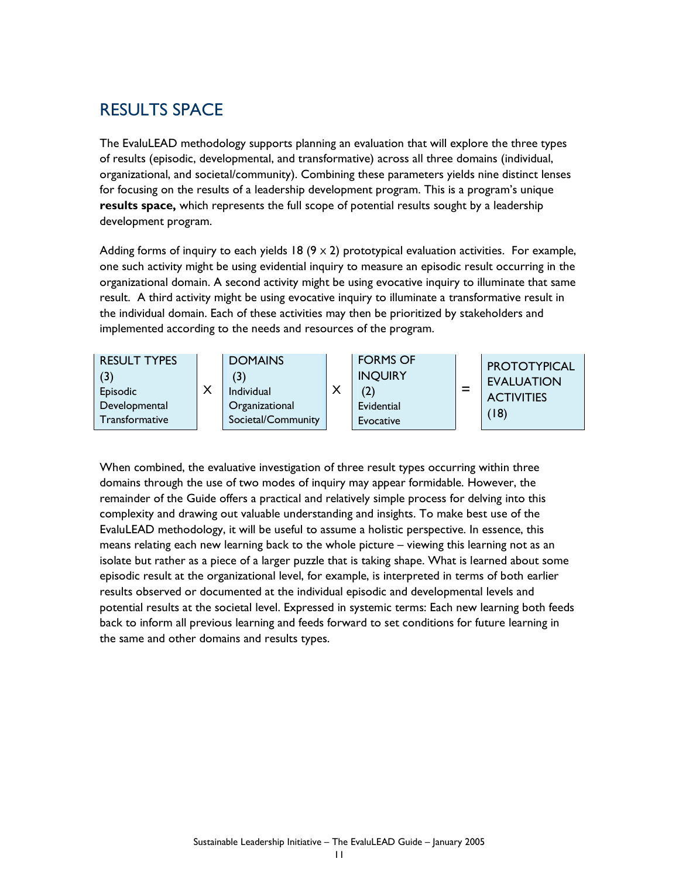### RESULTS SPACE

The EvaluLEAD methodology supports planning an evaluation that will explore the three types of results (episodic, developmental, and transformative) across all three domains (individual, organizational, and societal/community). Combining these parameters yields nine distinct lenses for focusing on the results of a leadership development program. This is a program's unique **results space,** which represents the full scope of potential results sought by a leadership development program.

Adding forms of inquiry to each yields 18  $(9 \times 2)$  prototypical evaluation activities. For example, one such activity might be using evidential inquiry to measure an episodic result occurring in the organizational domain. A second activity might be using evocative inquiry to illuminate that same result. A third activity might be using evocative inquiry to illuminate a transformative result in the individual domain. Each of these activities may then be prioritized by stakeholders and implemented according to the needs and resources of the program.

| <b>RESULT TYPES</b><br>Episodic<br>Developmental<br>Transformative | <b>DOMAINS</b><br>(3)<br>Individual<br>Organizational<br>Societal/Community | X | <b>FORMS OF</b><br><b>INQUIRY</b><br>Evidential<br>Evocative | $\equiv$ | PROTOTYPICAL<br><b>EVALUATION</b><br><b>ACTIVITIES</b><br>(18) |
|--------------------------------------------------------------------|-----------------------------------------------------------------------------|---|--------------------------------------------------------------|----------|----------------------------------------------------------------|
|--------------------------------------------------------------------|-----------------------------------------------------------------------------|---|--------------------------------------------------------------|----------|----------------------------------------------------------------|

When combined, the evaluative investigation of three result types occurring within three domains through the use of two modes of inquiry may appear formidable. However, the remainder of the Guide offers a practical and relatively simple process for delving into this complexity and drawing out valuable understanding and insights. To make best use of the EvaluLEAD methodology, it will be useful to assume a holistic perspective. In essence, this means relating each new learning back to the whole picture – viewing this learning not as an isolate but rather as a piece of a larger puzzle that is taking shape. What is learned about some episodic result at the organizational level, for example, is interpreted in terms of both earlier results observed or documented at the individual episodic and developmental levels and potential results at the societal level. Expressed in systemic terms: Each new learning both feeds back to inform all previous learning and feeds forward to set conditions for future learning in the same and other domains and results types.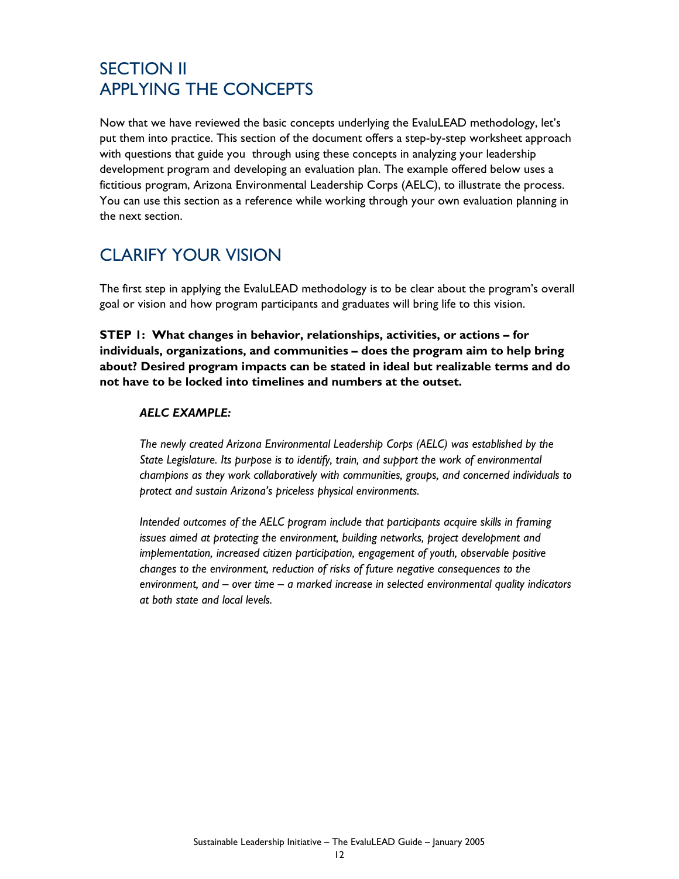## SECTION II APPLYING THE CONCEPTS

Now that we have reviewed the basic concepts underlying the EvaluLEAD methodology, let's put them into practice. This section of the document offers a step-by-step worksheet approach with questions that guide you through using these concepts in analyzing your leadership development program and developing an evaluation plan. The example offered below uses a fictitious program, Arizona Environmental Leadership Corps (AELC), to illustrate the process. You can use this section as a reference while working through your own evaluation planning in the next section.

## CLARIFY YOUR VISION

The first step in applying the EvaluLEAD methodology is to be clear about the program's overall goal or vision and how program participants and graduates will bring life to this vision.

**STEP 1: What changes in behavior, relationships, activities, or actions – for individuals, organizations, and communities – does the program aim to help bring about? Desired program impacts can be stated in ideal but realizable terms and do not have to be locked into timelines and numbers at the outset.** 

### *AELC EXAMPLE:*

*The newly created Arizona Environmental Leadership Corps (AELC) was established by the State Legislature. Its purpose is to identify, train, and support the work of environmental champions as they work collaboratively with communities, groups, and concerned individuals to protect and sustain Arizona's priceless physical environments.* 

*Intended outcomes of the AELC program include that participants acquire skills in framing issues aimed at protecting the environment, building networks, project development and implementation, increased citizen participation, engagement of youth, observable positive changes to the environment, reduction of risks of future negative consequences to the environment, and – over time – a marked increase in selected environmental quality indicators at both state and local levels.*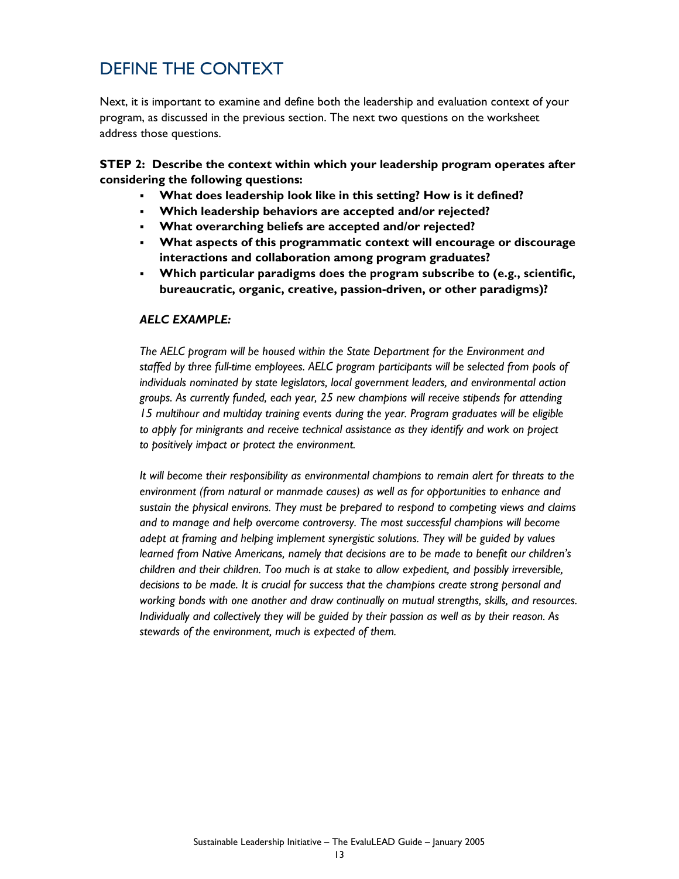## DEFINE THE CONTEXT

Next, it is important to examine and define both the leadership and evaluation context of your program, as discussed in the previous section. The next two questions on the worksheet address those questions.

**STEP 2: Describe the context within which your leadership program operates after considering the following questions:** 

- **What does leadership look like in this setting? How is it defined?**
- **Which leadership behaviors are accepted and/or rejected?**
- **What overarching beliefs are accepted and/or rejected?**
- **What aspects of this programmatic context will encourage or discourage interactions and collaboration among program graduates?**
- **Which particular paradigms does the program subscribe to (e.g., scientific, bureaucratic, organic, creative, passion-driven, or other paradigms)?**

#### *AELC EXAMPLE:*

*The AELC program will be housed within the State Department for the Environment and staffed by three full-time employees. AELC program participants will be selected from pools of individuals nominated by state legislators, local government leaders, and environmental action groups. As currently funded, each year, 25 new champions will receive stipends for attending 15 multihour and multiday training events during the year. Program graduates will be eligible to apply for minigrants and receive technical assistance as they identify and work on project to positively impact or protect the environment.* 

*It will become their responsibility as environmental champions to remain alert for threats to the environment (from natural or manmade causes) as well as for opportunities to enhance and sustain the physical environs. They must be prepared to respond to competing views and claims and to manage and help overcome controversy. The most successful champions will become adept at framing and helping implement synergistic solutions. They will be guided by values learned from Native Americans, namely that decisions are to be made to benefit our children's children and their children. Too much is at stake to allow expedient, and possibly irreversible, decisions to be made. It is crucial for success that the champions create strong personal and working bonds with one another and draw continually on mutual strengths, skills, and resources. Individually and collectively they will be guided by their passion as well as by their reason. As stewards of the environment, much is expected of them.*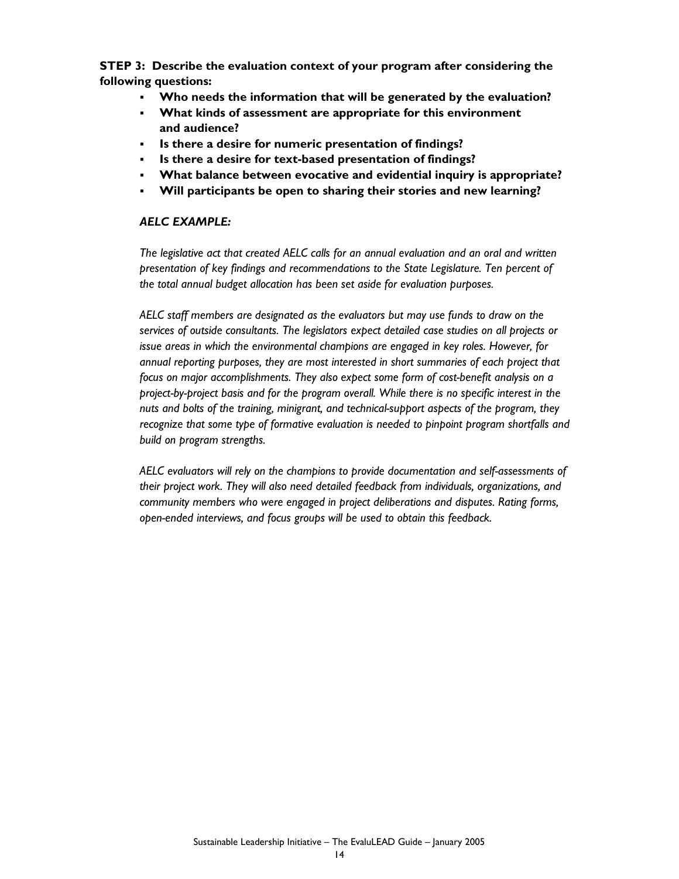**STEP 3: Describe the evaluation context of your program after considering the following questions:**

- **Who needs the information that will be generated by the evaluation?**
- **What kinds of assessment are appropriate for this environment and audience?**
- **Is there a desire for numeric presentation of findings?**
- **Is there a desire for text-based presentation of findings?**
- **What balance between evocative and evidential inquiry is appropriate?**
- **Will participants be open to sharing their stories and new learning?**

### *AELC EXAMPLE:*

*The legislative act that created AELC calls for an annual evaluation and an oral and written presentation of key findings and recommendations to the State Legislature. Ten percent of the total annual budget allocation has been set aside for evaluation purposes.* 

*AELC staff members are designated as the evaluators but may use funds to draw on the services of outside consultants. The legislators expect detailed case studies on all projects or issue areas in which the environmental champions are engaged in key roles. However, for annual reporting purposes, they are most interested in short summaries of each project that focus on major accomplishments. They also expect some form of cost-benefit analysis on a project-by-project basis and for the program overall. While there is no specific interest in the nuts and bolts of the training, minigrant, and technical-support aspects of the program, they recognize that some type of formative evaluation is needed to pinpoint program shortfalls and build on program strengths.* 

*AELC evaluators will rely on the champions to provide documentation and self-assessments of their project work. They will also need detailed feedback from individuals, organizations, and community members who were engaged in project deliberations and disputes. Rating forms, open-ended interviews, and focus groups will be used to obtain this feedback.*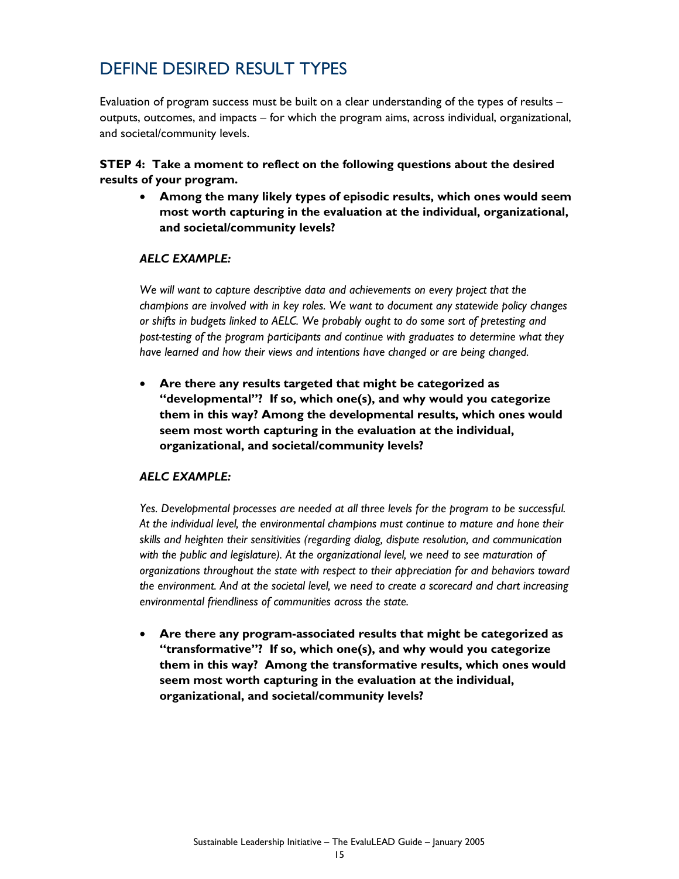## DEFINE DESIRED RESULT TYPES

Evaluation of program success must be built on a clear understanding of the types of results – outputs, outcomes, and impacts – for which the program aims, across individual, organizational, and societal/community levels.

**STEP 4: Take a moment to reflect on the following questions about the desired results of your program.**

• **Among the many likely types of episodic results, which ones would seem most worth capturing in the evaluation at the individual, organizational, and societal/community levels?** 

### *AELC EXAMPLE:*

*We will want to capture descriptive data and achievements on every project that the champions are involved with in key roles. We want to document any statewide policy changes or shifts in budgets linked to AELC. We probably ought to do some sort of pretesting and post-testing of the program participants and continue with graduates to determine what they have learned and how their views and intentions have changed or are being changed.* 

• **Are there any results targeted that might be categorized as "developmental"? If so, which one(s), and why would you categorize them in this way? Among the developmental results, which ones would seem most worth capturing in the evaluation at the individual, organizational, and societal/community levels?** 

### *AELC EXAMPLE:*

*Yes. Developmental processes are needed at all three levels for the program to be successful. At the individual level, the environmental champions must continue to mature and hone their skills and heighten their sensitivities (regarding dialog, dispute resolution, and communication with the public and legislature). At the organizational level, we need to see maturation of organizations throughout the state with respect to their appreciation for and behaviors toward the environment. And at the societal level, we need to create a scorecard and chart increasing environmental friendliness of communities across the state.* 

• **Are there any program-associated results that might be categorized as "transformative"? If so, which one(s), and why would you categorize them in this way? Among the transformative results, which ones would seem most worth capturing in the evaluation at the individual, organizational, and societal/community levels?**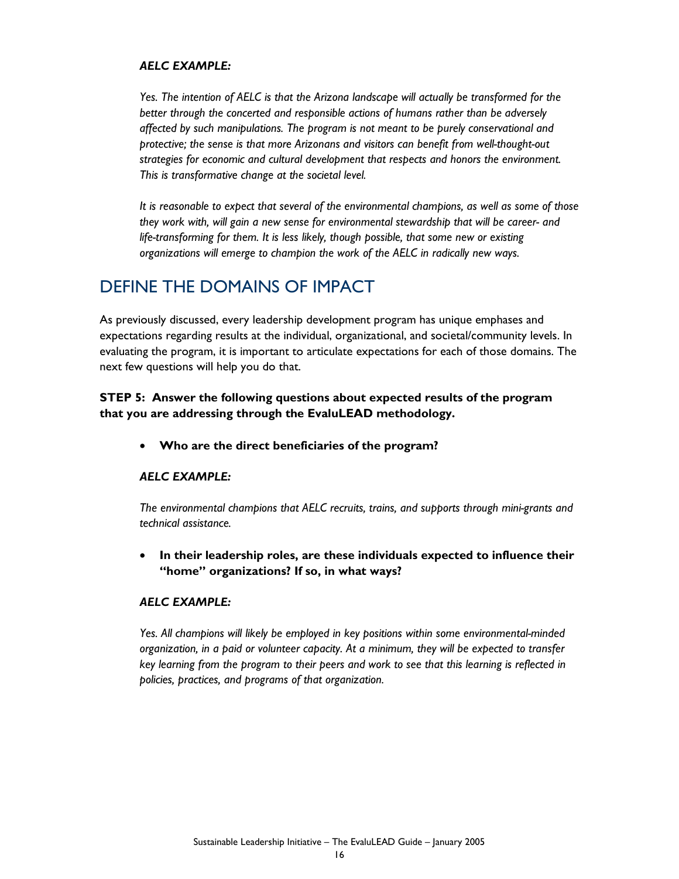#### *AELC EXAMPLE:*

*Yes. The intention of AELC is that the Arizona landscape will actually be transformed for the better through the concerted and responsible actions of humans rather than be adversely affected by such manipulations. The program is not meant to be purely conservational and protective; the sense is that more Arizonans and visitors can benefit from well-thought-out strategies for economic and cultural development that respects and honors the environment. This is transformative change at the societal level.* 

*It is reasonable to expect that several of the environmental champions, as well as some of those they work with, will gain a new sense for environmental stewardship that will be career- and life-transforming for them. It is less likely, though possible, that some new or existing organizations will emerge to champion the work of the AELC in radically new ways.* 

### DEFINE THE DOMAINS OF IMPACT

As previously discussed, every leadership development program has unique emphases and expectations regarding results at the individual, organizational, and societal/community levels. In evaluating the program, it is important to articulate expectations for each of those domains. The next few questions will help you do that.

### **STEP 5: Answer the following questions about expected results of the program that you are addressing through the EvaluLEAD methodology.**

• **Who are the direct beneficiaries of the program?** 

### *AELC EXAMPLE:*

*The environmental champions that AELC recruits, trains, and supports through mini-grants and technical assistance.* 

• **In their leadership roles, are these individuals expected to influence their "home" organizations? If so, in what ways?** 

### *AELC EXAMPLE:*

*Yes. All champions will likely be employed in key positions within some environmental-minded organization, in a paid or volunteer capacity. At a minimum, they will be expected to transfer key learning from the program to their peers and work to see that this learning is reflected in policies, practices, and programs of that organization.*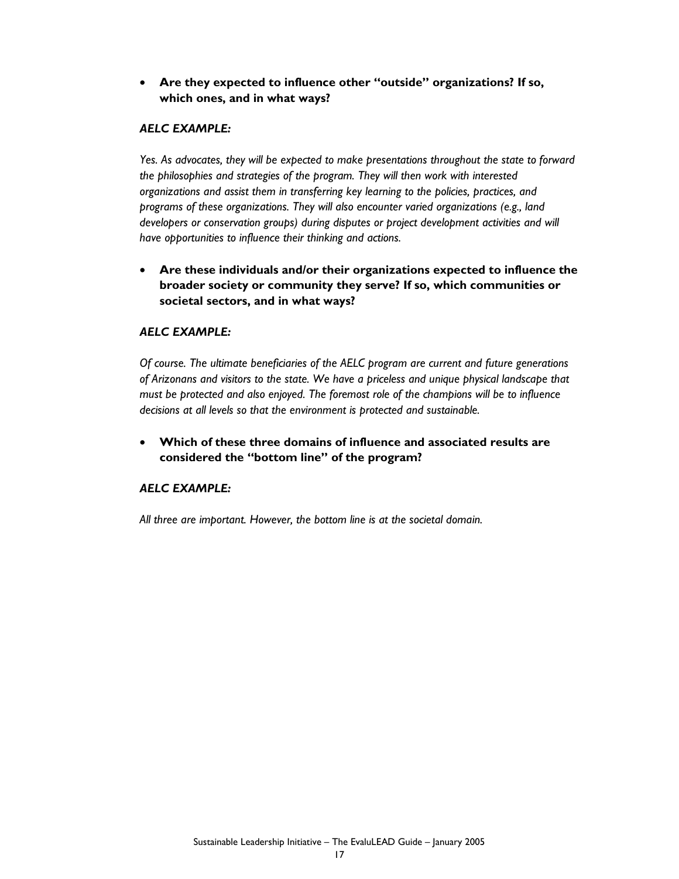### • **Are they expected to influence other "outside" organizations? If so, which ones, and in what ways?**

### *AELC EXAMPLE:*

*Yes. As advocates, they will be expected to make presentations throughout the state to forward the philosophies and strategies of the program. They will then work with interested organizations and assist them in transferring key learning to the policies, practices, and programs of these organizations. They will also encounter varied organizations (e.g., land developers or conservation groups) during disputes or project development activities and will have opportunities to influence their thinking and actions.* 

• **Are these individuals and/or their organizations expected to influence the broader society or community they serve? If so, which communities or societal sectors, and in what ways?** 

### *AELC EXAMPLE:*

*Of course. The ultimate beneficiaries of the AELC program are current and future generations of Arizonans and visitors to the state. We have a priceless and unique physical landscape that must be protected and also enjoyed. The foremost role of the champions will be to influence decisions at all levels so that the environment is protected and sustainable.* 

• **Which of these three domains of influence and associated results are considered the "bottom line" of the program?** 

### *AELC EXAMPLE:*

*All three are important. However, the bottom line is at the societal domain.*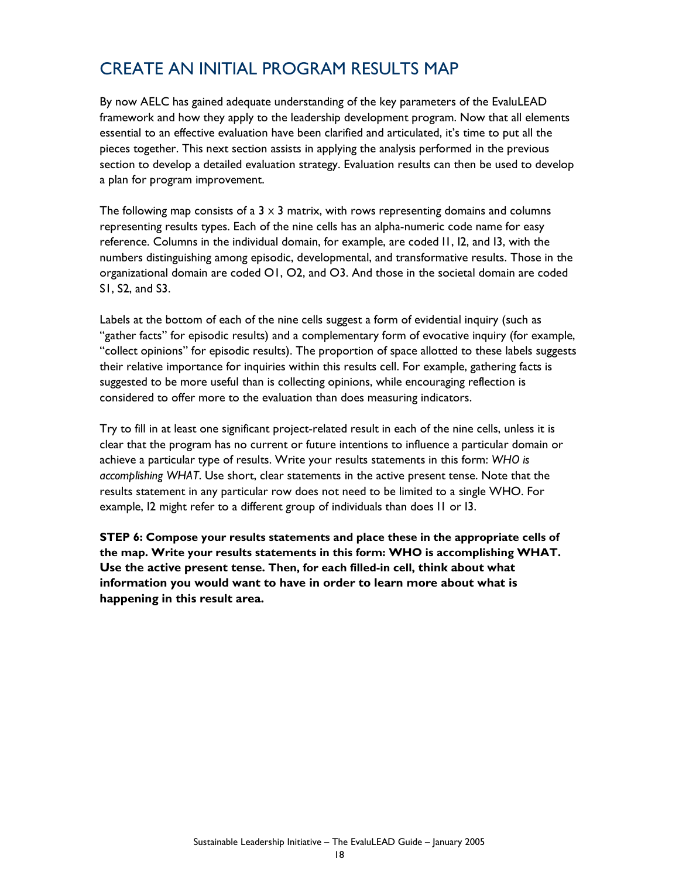## CREATE AN INITIAL PROGRAM RESULTS MAP

By now AELC has gained adequate understanding of the key parameters of the EvaluLEAD framework and how they apply to the leadership development program. Now that all elements essential to an effective evaluation have been clarified and articulated, it's time to put all the pieces together. This next section assists in applying the analysis performed in the previous section to develop a detailed evaluation strategy. Evaluation results can then be used to develop a plan for program improvement.

The following map consists of a  $3 \times 3$  matrix, with rows representing domains and columns representing results types. Each of the nine cells has an alpha-numeric code name for easy reference. Columns in the individual domain, for example, are coded I1, I2, and I3, with the numbers distinguishing among episodic, developmental, and transformative results. Those in the organizational domain are coded O1, O2, and O3. And those in the societal domain are coded S1, S2, and S3.

Labels at the bottom of each of the nine cells suggest a form of evidential inquiry (such as "gather facts" for episodic results) and a complementary form of evocative inquiry (for example, "collect opinions" for episodic results). The proportion of space allotted to these labels suggests their relative importance for inquiries within this results cell. For example, gathering facts is suggested to be more useful than is collecting opinions, while encouraging reflection is considered to offer more to the evaluation than does measuring indicators.

Try to fill in at least one significant project-related result in each of the nine cells, unless it is clear that the program has no current or future intentions to influence a particular domain or achieve a particular type of results. Write your results statements in this form: *WHO is accomplishing WHAT*. Use short, clear statements in the active present tense. Note that the results statement in any particular row does not need to be limited to a single WHO. For example, I2 might refer to a different group of individuals than does I1 or I3.

**STEP 6: Compose your results statements and place these in the appropriate cells of the map. Write your results statements in this form: WHO is accomplishing WHAT. Use the active present tense. Then, for each filled-in cell, think about what information you would want to have in order to learn more about what is happening in this result area.**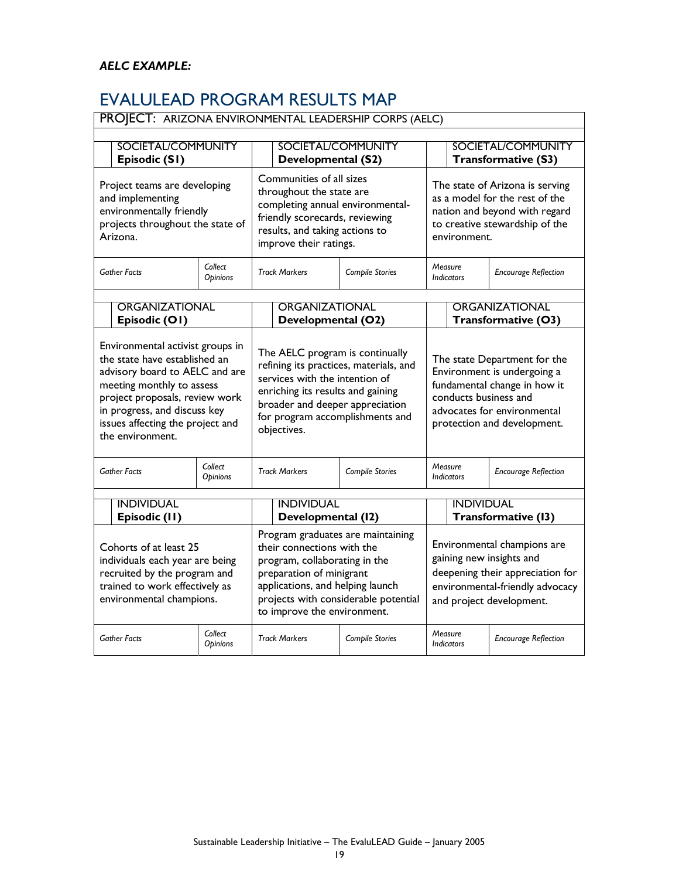## EVALULEAD PROGRAM RESULTS MAP

| PROJECT: ARIZONA ENVIRONMENTAL LEADERSHIP CORPS (AELC)                                                                                                                                                                                                     |                            |                                                                                                                                                                                                                                         |                 |                                                                                                                                                                                    |                                              |  |
|------------------------------------------------------------------------------------------------------------------------------------------------------------------------------------------------------------------------------------------------------------|----------------------------|-----------------------------------------------------------------------------------------------------------------------------------------------------------------------------------------------------------------------------------------|-----------------|------------------------------------------------------------------------------------------------------------------------------------------------------------------------------------|----------------------------------------------|--|
| SOCIETAL/COMMUNITY<br>Episodic (S1)                                                                                                                                                                                                                        |                            | SOCIETAL/COMMUNITY<br>Developmental (S2)                                                                                                                                                                                                |                 | <b>SOCIETAL/COMMUNITY</b><br>Transformative (S3)                                                                                                                                   |                                              |  |
| Project teams are developing<br>and implementing<br>environmentally friendly<br>projects throughout the state of<br>Arizona.                                                                                                                               |                            | Communities of all sizes<br>throughout the state are<br>completing annual environmental-<br>friendly scorecards, reviewing<br>results, and taking actions to<br>improve their ratings.                                                  |                 | The state of Arizona is serving<br>as a model for the rest of the<br>nation and beyond with regard<br>to creative stewardship of the<br>environment.                               |                                              |  |
| <b>Gather Facts</b>                                                                                                                                                                                                                                        | Collect<br>Opinions        | <b>Track Markers</b>                                                                                                                                                                                                                    | Compile Stories | Measure<br><b>Indicators</b>                                                                                                                                                       | <b>Encourage Reflection</b>                  |  |
| <b>ORGANIZATIONAL</b><br>Episodic (O1)                                                                                                                                                                                                                     |                            | ORGANIZATIONAL<br>Developmental (O2)                                                                                                                                                                                                    |                 |                                                                                                                                                                                    | <b>ORGANIZATIONAL</b><br>Transformative (O3) |  |
| Environmental activist groups in<br>the state have established an<br>advisory board to AELC and are<br>meeting monthly to assess<br>project proposals, review work<br>in progress, and discuss key<br>issues affecting the project and<br>the environment. |                            | The AELC program is continually<br>refining its practices, materials, and<br>services with the intention of<br>enriching its results and gaining<br>broader and deeper appreciation<br>for program accomplishments and<br>objectives.   |                 | The state Department for the<br>Environment is undergoing a<br>fundamental change in how it<br>conducts business and<br>advocates for environmental<br>protection and development. |                                              |  |
| <b>Gather Facts</b>                                                                                                                                                                                                                                        | Collect<br><b>Opinions</b> | <b>Track Markers</b>                                                                                                                                                                                                                    | Compile Stories | Measure<br><b>Indicators</b>                                                                                                                                                       | <b>Encourage Reflection</b>                  |  |
| <b>INDIVIDUAL</b><br>Episodic (II)                                                                                                                                                                                                                         |                            | <b>INDIVIDUAL</b><br>Developmental (12)                                                                                                                                                                                                 |                 | <b>INDIVIDUAL</b>                                                                                                                                                                  | Transformative (13)                          |  |
| Cohorts of at least 25<br>individuals each year are being<br>recruited by the program and<br>trained to work effectively as<br>environmental champions.                                                                                                    |                            | Program graduates are maintaining<br>their connections with the<br>program, collaborating in the<br>preparation of minigrant<br>applications, and helping launch<br>projects with considerable potential<br>to improve the environment. |                 | Environmental champions are<br>gaining new insights and<br>deepening their appreciation for<br>environmental-friendly advocacy<br>and project development.                         |                                              |  |
| <b>Gather Facts</b>                                                                                                                                                                                                                                        | Collect<br>Opinions        | <b>Track Markers</b>                                                                                                                                                                                                                    | Compile Stories | Measure<br><b>Indicators</b>                                                                                                                                                       | <b>Encourage Reflection</b>                  |  |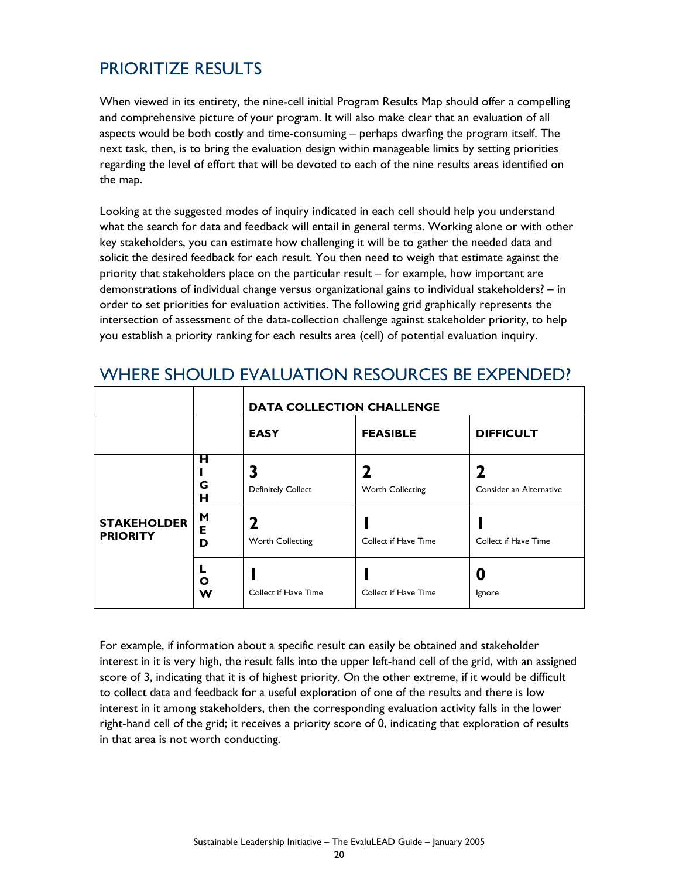## PRIORITIZE RESULTS

When viewed in its entirety, the nine-cell initial Program Results Map should offer a compelling and comprehensive picture of your program. It will also make clear that an evaluation of all aspects would be both costly and time-consuming – perhaps dwarfing the program itself. The next task, then, is to bring the evaluation design within manageable limits by setting priorities regarding the level of effort that will be devoted to each of the nine results areas identified on the map.

Looking at the suggested modes of inquiry indicated in each cell should help you understand what the search for data and feedback will entail in general terms. Working alone or with other key stakeholders, you can estimate how challenging it will be to gather the needed data and solicit the desired feedback for each result. You then need to weigh that estimate against the priority that stakeholders place on the particular result – for example, how important are demonstrations of individual change versus organizational gains to individual stakeholders? – in order to set priorities for evaluation activities. The following grid graphically represents the intersection of assessment of the data-collection challenge against stakeholder priority, to help you establish a priority ranking for each results area (cell) of potential evaluation inquiry.

|                                       |             | <b>DATA COLLECTION CHALLENGE</b> |                      |                         |  |  |  |
|---------------------------------------|-------------|----------------------------------|----------------------|-------------------------|--|--|--|
|                                       |             | <b>EASY</b>                      | <b>FEASIBLE</b>      | <b>DIFFICULT</b>        |  |  |  |
|                                       | н<br>G<br>н | 3<br><b>Definitely Collect</b>   | Worth Collecting     | Consider an Alternative |  |  |  |
| <b>STAKEHOLDER</b><br><b>PRIORITY</b> | M<br>Е<br>D | 2<br>Worth Collecting            | Collect if Have Time | Collect if Have Time    |  |  |  |
|                                       | L<br>Ο<br>w | Collect if Have Time             | Collect if Have Time | Ignore                  |  |  |  |

### WHERE SHOULD EVALUATION RESOURCES BE EXPENDED?

For example, if information about a specific result can easily be obtained and stakeholder interest in it is very high, the result falls into the upper left-hand cell of the grid, with an assigned score of 3, indicating that it is of highest priority. On the other extreme, if it would be difficult to collect data and feedback for a useful exploration of one of the results and there is low interest in it among stakeholders, then the corresponding evaluation activity falls in the lower right-hand cell of the grid; it receives a priority score of 0, indicating that exploration of results in that area is not worth conducting.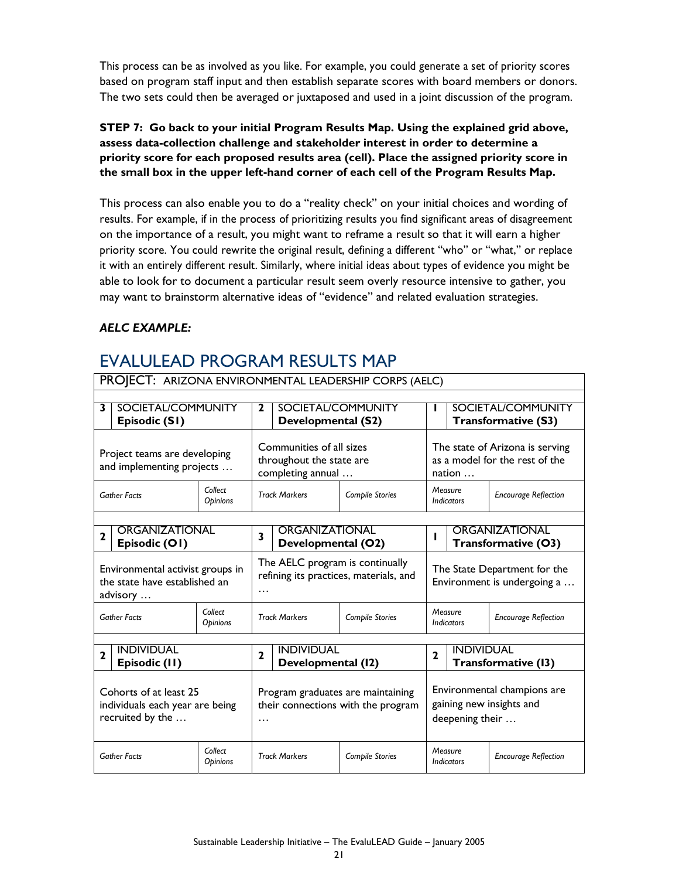This process can be as involved as you like. For example, you could generate a set of priority scores based on program staff input and then establish separate scores with board members or donors. The two sets could then be averaged or juxtaposed and used in a joint discussion of the program.

### **STEP 7: Go back to your initial Program Results Map. Using the explained grid above, assess data-collection challenge and stakeholder interest in order to determine a priority score for each proposed results area (cell). Place the assigned priority score in the small box in the upper left-hand corner of each cell of the Program Results Map.**

This process can also enable you to do a "reality check" on your initial choices and wording of results. For example, if in the process of prioritizing results you find significant areas of disagreement on the importance of a result, you might want to reframe a result so that it will earn a higher priority score. You could rewrite the original result, defining a different "who" or "what," or replace it with an entirely different result. Similarly, where initial ideas about types of evidence you might be able to look for to document a particular result seem overly resource intensive to gather, you may want to brainstorm alternative ideas of "evidence" and related evaluation strategies.

### *AELC EXAMPLE:*

### EVALULEAD PROGRAM RESULTS MAP

|                                                                               | PROJECT: ARIZONA ENVIRONMENTAL LEADERSHIP CORPS (AELC) |                                                                                |              |                                         |                                                                             |                                            |                              |                             |
|-------------------------------------------------------------------------------|--------------------------------------------------------|--------------------------------------------------------------------------------|--------------|-----------------------------------------|-----------------------------------------------------------------------------|--------------------------------------------|------------------------------|-----------------------------|
|                                                                               |                                                        |                                                                                |              |                                         |                                                                             |                                            |                              |                             |
| 3                                                                             | SOCIETAL/COMMUNITY<br>Episodic (S1)                    |                                                                                |              | Developmental (S2)                      | SOCIETAL/COMMUNITY                                                          | SOCIETAL/COMMUNITY<br>Transformative (S3)  |                              |                             |
| Project teams are developing<br>and implementing projects                     |                                                        | Communities of all sizes<br>throughout the state are<br>completing annual      |              |                                         | The state of Arizona is serving<br>as a model for the rest of the<br>nation |                                            |                              |                             |
|                                                                               | <b>Gather Facts</b>                                    | Collect<br><b>Opinions</b>                                                     |              | <b>Track Markers</b><br>Compile Stories |                                                                             |                                            | Measure<br><b>Indicators</b> | <b>Encourage Reflection</b> |
|                                                                               |                                                        |                                                                                |              |                                         |                                                                             |                                            |                              |                             |
| $\mathbf{2}$                                                                  | ORGANIZATIONAL<br>Episodic (O1)                        |                                                                                | 3            | ORGANIZATIONAL<br>Developmental (O2)    |                                                                             | ORGANIZATIONAL<br>ı<br>Transformative (O3) |                              |                             |
| Environmental activist groups in<br>the state have established an<br>advisory |                                                        | The AELC program is continually<br>refining its practices, materials, and<br>. |              |                                         | The State Department for the<br>Environment is undergoing a                 |                                            |                              |                             |
|                                                                               | <b>Gather Facts</b>                                    | Collect<br><b>Opinions</b>                                                     |              | <b>Track Markers</b>                    | Compile Stories                                                             | Measure<br><b>Indicators</b>               |                              | <b>Encourage Reflection</b> |
|                                                                               |                                                        |                                                                                |              |                                         |                                                                             |                                            |                              |                             |
| 2                                                                             | <b>INDIVIDUAL</b><br>Episodic (II)                     |                                                                                | $\mathbf{2}$ | <b>INDIVIDUAL</b><br>Developmental (12) |                                                                             | $\mathbf{2}$                               | <b>INDIVIDUAL</b>            | Transformative (13)         |
| Cohorts of at least 25<br>individuals each year are being<br>recruited by the |                                                        | Program graduates are maintaining<br>their connections with the program<br>.   |              |                                         | Environmental champions are<br>gaining new insights and<br>deepening their  |                                            |                              |                             |
|                                                                               | <b>Gather Facts</b>                                    | Collect<br>Opinions                                                            |              | <b>Track Markers</b>                    | Compile Stories                                                             |                                            | Measure<br><b>Indicators</b> | <b>Encourage Reflection</b> |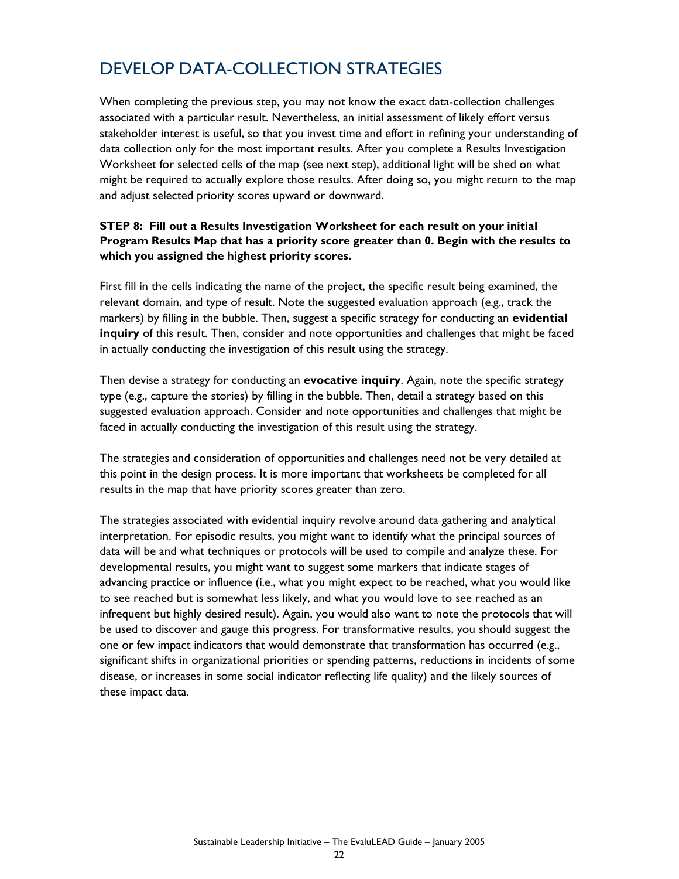## DEVELOP DATA-COLLECTION STRATEGIES

When completing the previous step, you may not know the exact data-collection challenges associated with a particular result. Nevertheless, an initial assessment of likely effort versus stakeholder interest is useful, so that you invest time and effort in refining your understanding of data collection only for the most important results. After you complete a Results Investigation Worksheet for selected cells of the map (see next step), additional light will be shed on what might be required to actually explore those results. After doing so, you might return to the map and adjust selected priority scores upward or downward.

### **STEP 8: Fill out a Results Investigation Worksheet for each result on your initial Program Results Map that has a priority score greater than 0. Begin with the results to which you assigned the highest priority scores.**

First fill in the cells indicating the name of the project, the specific result being examined, the relevant domain, and type of result. Note the suggested evaluation approach (e.g., track the markers) by filling in the bubble. Then, suggest a specific strategy for conducting an **evidential inquiry** of this result. Then, consider and note opportunities and challenges that might be faced in actually conducting the investigation of this result using the strategy.

Then devise a strategy for conducting an **evocative inquiry**. Again, note the specific strategy type (e.g., capture the stories) by filling in the bubble. Then, detail a strategy based on this suggested evaluation approach. Consider and note opportunities and challenges that might be faced in actually conducting the investigation of this result using the strategy.

The strategies and consideration of opportunities and challenges need not be very detailed at this point in the design process. It is more important that worksheets be completed for all results in the map that have priority scores greater than zero.

The strategies associated with evidential inquiry revolve around data gathering and analytical interpretation. For episodic results, you might want to identify what the principal sources of data will be and what techniques or protocols will be used to compile and analyze these. For developmental results, you might want to suggest some markers that indicate stages of advancing practice or influence (i.e., what you might expect to be reached, what you would like to see reached but is somewhat less likely, and what you would love to see reached as an infrequent but highly desired result). Again, you would also want to note the protocols that will be used to discover and gauge this progress. For transformative results, you should suggest the one or few impact indicators that would demonstrate that transformation has occurred (e.g., significant shifts in organizational priorities or spending patterns, reductions in incidents of some disease, or increases in some social indicator reflecting life quality) and the likely sources of these impact data.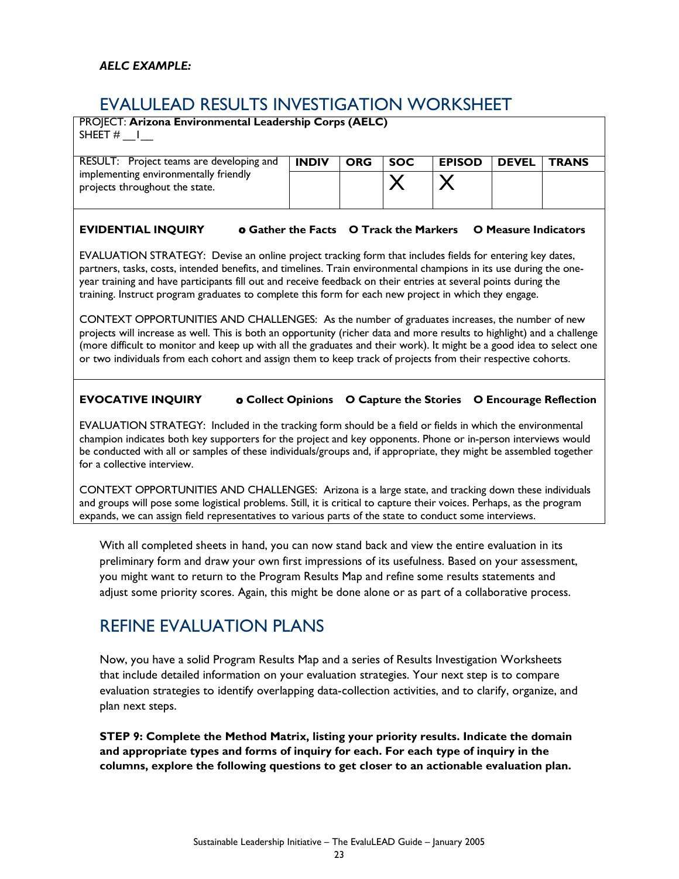### EVALULEAD RESULTS INVESTIGATION WORKSHEET

| PROJECT: Arizona Environmental Leadership Corps (AELC)<br>SHEET $#$                                                 |              |            |            |               |              |              |
|---------------------------------------------------------------------------------------------------------------------|--------------|------------|------------|---------------|--------------|--------------|
| RESULT: Project teams are developing and<br>implementing environmentally friendly<br>projects throughout the state. | <b>INDIV</b> | <b>ORG</b> | <b>SOC</b> | <b>EPISOD</b> | <b>DEVEL</b> | <b>TRANS</b> |

### **EVIDENTIAL INQUIRY** o **Gather the Facts O Track the Markers O Measure Indicators**

EVALUATION STRATEGY: Devise an online project tracking form that includes fields for entering key dates, partners, tasks, costs, intended benefits, and timelines. Train environmental champions in its use during the oneyear training and have participants fill out and receive feedback on their entries at several points during the training. Instruct program graduates to complete this form for each new project in which they engage.

CONTEXT OPPORTUNITIES AND CHALLENGES: As the number of graduates increases, the number of new projects will increase as well. This is both an opportunity (richer data and more results to highlight) and a challenge (more difficult to monitor and keep up with all the graduates and their work). It might be a good idea to select one or two individuals from each cohort and assign them to keep track of projects from their respective cohorts.

### **EVOCATIVE INQUIRY** o **Collect Opinions O Capture the Stories O Encourage Reflection**

EVALUATION STRATEGY: Included in the tracking form should be a field or fields in which the environmental champion indicates both key supporters for the project and key opponents. Phone or in-person interviews would be conducted with all or samples of these individuals/groups and, if appropriate, they might be assembled together for a collective interview.

CONTEXT OPPORTUNITIES AND CHALLENGES: Arizona is a large state, and tracking down these individuals and groups will pose some logistical problems. Still, it is critical to capture their voices. Perhaps, as the program expands, we can assign field representatives to various parts of the state to conduct some interviews.

With all completed sheets in hand, you can now stand back and view the entire evaluation in its preliminary form and draw your own first impressions of its usefulness. Based on your assessment, you might want to return to the Program Results Map and refine some results statements and adjust some priority scores. Again, this might be done alone or as part of a collaborative process.

### REFINE EVALUATION PLANS

Now, you have a solid Program Results Map and a series of Results Investigation Worksheets that include detailed information on your evaluation strategies. Your next step is to compare evaluation strategies to identify overlapping data-collection activities, and to clarify, organize, and plan next steps.

**STEP 9: Complete the Method Matrix, listing your priority results. Indicate the domain and appropriate types and forms of inquiry for each. For each type of inquiry in the columns, explore the following questions to get closer to an actionable evaluation plan.**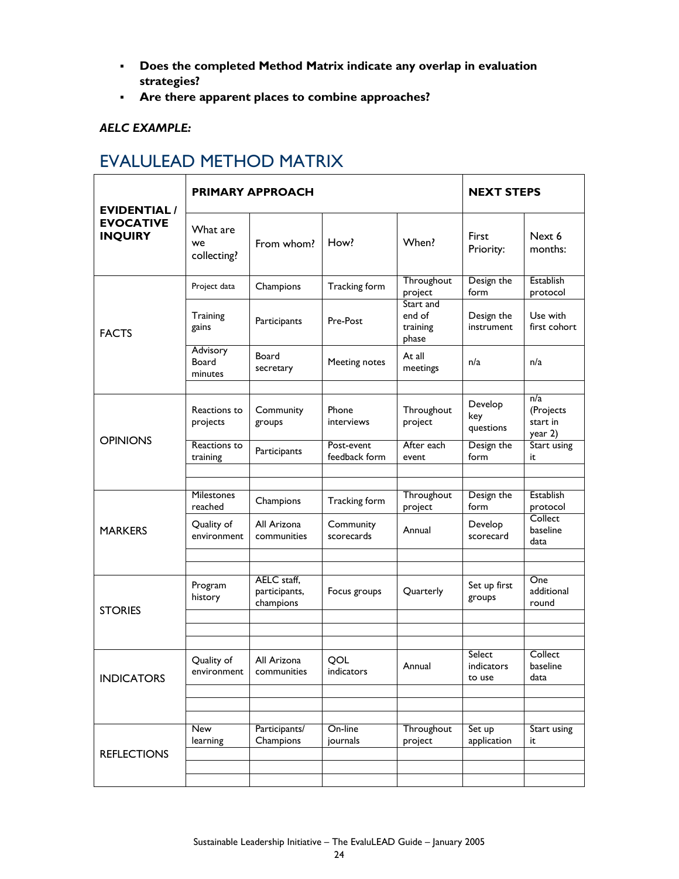- **Does the completed Method Matrix indicate any overlap in evaluation strategies?**
- **Are there apparent places to combine approaches?**

### *AELC EXAMPLE:*

## EVALULEAD METHOD MATRIX

| <b>EVIDENTIAL/</b>                 |                               | <b>PRIMARY APPROACH</b>                   | <b>NEXT STEPS</b>           |                                          |                                |                                         |
|------------------------------------|-------------------------------|-------------------------------------------|-----------------------------|------------------------------------------|--------------------------------|-----------------------------------------|
| <b>EVOCATIVE</b><br><b>INQUIRY</b> | What are<br>we<br>collecting? | From whom?                                | How?                        | When?                                    | First<br>Priority:             | Next 6<br>months:                       |
|                                    | Project data                  | Champions                                 | Tracking form               | Throughout<br>project                    | Design the<br>form             | Establish<br>protocol                   |
| <b>FACTS</b>                       | Training<br>gains             | Participants                              | Pre-Post                    | Start and<br>end of<br>training<br>phase | Design the<br>instrument       | Use with<br>first cohort                |
|                                    | Advisory<br>Board<br>minutes  | Board<br>secretary                        | Meeting notes               | At all<br>meetings                       | n/a                            | n/a                                     |
| <b>OPINIONS</b>                    | Reactions to<br>projects      | Community<br>groups                       | Phone<br>interviews         | Throughout<br>project                    | Develop<br>key<br>questions    | n/a<br>(Projects<br>start in<br>year 2) |
|                                    | Reactions to<br>training      | Participants                              | Post-event<br>feedback form | After each<br>event                      | Design the<br>form             | Start using<br>it                       |
|                                    |                               |                                           |                             |                                          |                                |                                         |
|                                    | Milestones<br>reached         | Champions                                 | Tracking form               | Throughout<br>project                    | Design the<br>form             | <b>Establish</b><br>protocol            |
| <b>MARKERS</b>                     | Quality of<br>environment     | All Arizona<br>communities                | Community<br>scorecards     | Annual                                   | Develop<br>scorecard           | Collect<br>baseline<br>data             |
|                                    |                               |                                           |                             |                                          |                                |                                         |
| <b>STORIES</b>                     | Program<br>history            | AELC staff,<br>participants,<br>champions | Focus groups                | Quarterly                                | Set up first<br>groups         | One<br>additional<br>round              |
|                                    |                               |                                           |                             |                                          |                                |                                         |
|                                    |                               |                                           |                             |                                          |                                |                                         |
| <b>INDICATORS</b>                  | Quality of<br>environment     | All Arizona<br>communities                | QOL<br>indicators           | Annual                                   | Select<br>indicators<br>to use | Collect<br>baseline<br>data             |
|                                    |                               |                                           |                             |                                          |                                |                                         |
|                                    | New<br>learning               | Participants/<br>Champions                | On-line<br>journals         | Throughout<br>project                    | Set up<br>application          | Start using<br>it                       |
| <b>REFLECTIONS</b>                 |                               |                                           |                             |                                          |                                |                                         |
|                                    |                               |                                           |                             |                                          |                                |                                         |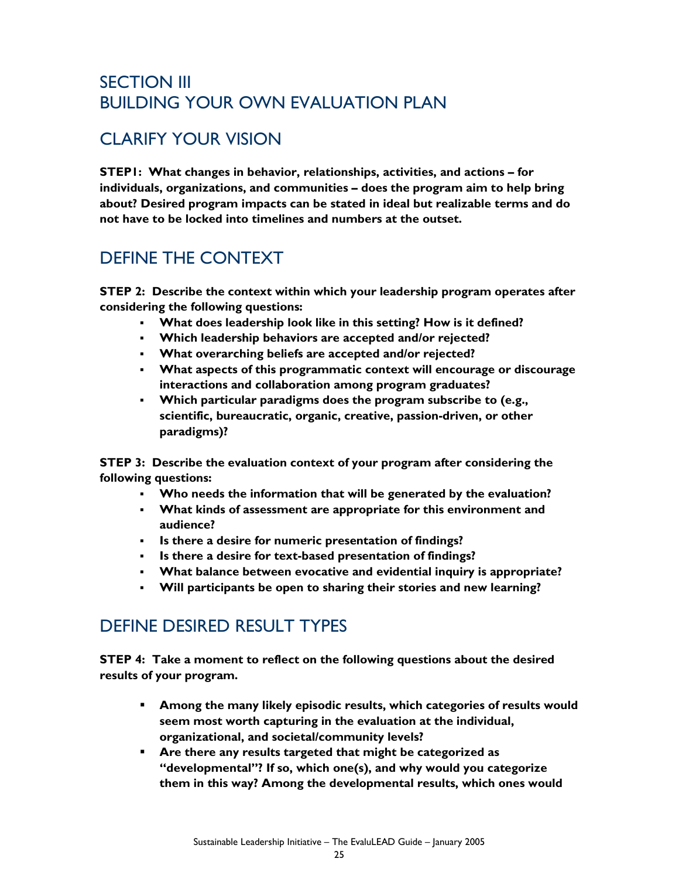## SECTION III BUILDING YOUR OWN EVALUATION PLAN

## CLARIFY YOUR VISION

**STEP1: What changes in behavior, relationships, activities, and actions – for individuals, organizations, and communities – does the program aim to help bring about? Desired program impacts can be stated in ideal but realizable terms and do not have to be locked into timelines and numbers at the outset.** 

## DEFINE THE CONTEXT

**STEP 2: Describe the context within which your leadership program operates after considering the following questions:** 

- **What does leadership look like in this setting? How is it defined?**
- **Which leadership behaviors are accepted and/or rejected?**
- **What overarching beliefs are accepted and/or rejected?**
- **What aspects of this programmatic context will encourage or discourage interactions and collaboration among program graduates?**
- **Which particular paradigms does the program subscribe to (e.g., scientific, bureaucratic, organic, creative, passion-driven, or other paradigms)?**

**STEP 3: Describe the evaluation context of your program after considering the following questions:**

- **Who needs the information that will be generated by the evaluation?**
- **What kinds of assessment are appropriate for this environment and audience?**
- **Is there a desire for numeric presentation of findings?**
- **Is there a desire for text-based presentation of findings?**
- **What balance between evocative and evidential inquiry is appropriate?**
- **Will participants be open to sharing their stories and new learning?**

## DEFINE DESIRED RESULT TYPES

**STEP 4: Take a moment to reflect on the following questions about the desired results of your program.** 

- **Among the many likely episodic results, which categories of results would seem most worth capturing in the evaluation at the individual, organizational, and societal/community levels?**
- **Are there any results targeted that might be categorized as "developmental"? If so, which one(s), and why would you categorize them in this way? Among the developmental results, which ones would**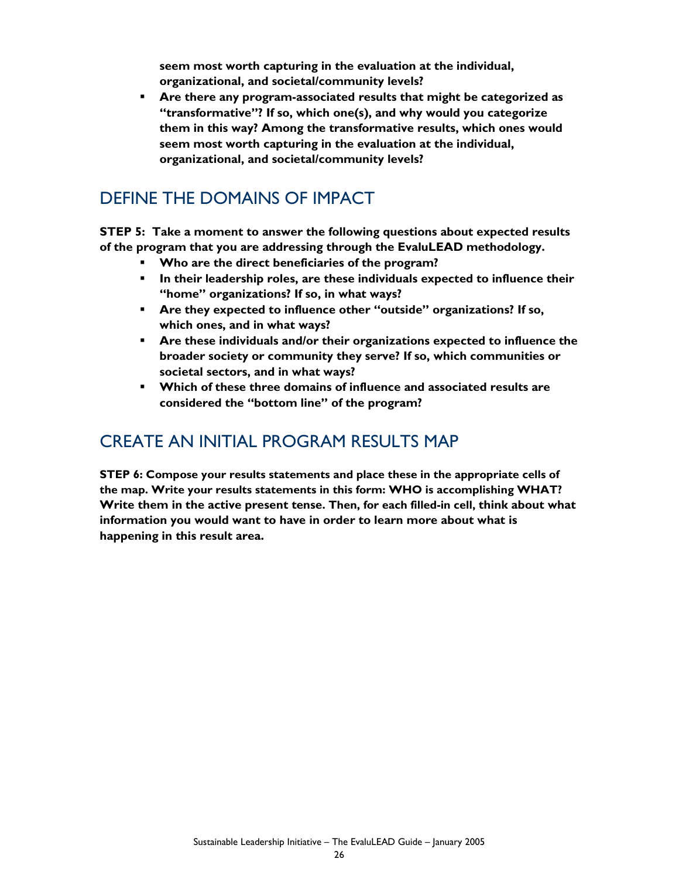**seem most worth capturing in the evaluation at the individual, organizational, and societal/community levels?** 

 **Are there any program-associated results that might be categorized as "transformative"? If so, which one(s), and why would you categorize them in this way? Among the transformative results, which ones would seem most worth capturing in the evaluation at the individual, organizational, and societal/community levels?** 

## DEFINE THE DOMAINS OF IMPACT

**STEP 5: Take a moment to answer the following questions about expected results of the program that you are addressing through the EvaluLEAD methodology.** 

- **Who are the direct beneficiaries of the program?**
- **In their leadership roles, are these individuals expected to influence their "home" organizations? If so, in what ways?**
- **Are they expected to influence other "outside" organizations? If so, which ones, and in what ways?**
- **Are these individuals and/or their organizations expected to influence the broader society or community they serve? If so, which communities or societal sectors, and in what ways?**
- **Which of these three domains of influence and associated results are considered the "bottom line" of the program?**

### CREATE AN INITIAL PROGRAM RESULTS MAP

**STEP 6: Compose your results statements and place these in the appropriate cells of the map. Write your results statements in this form: WHO is accomplishing WHAT? Write them in the active present tense. Then, for each filled-in cell, think about what information you would want to have in order to learn more about what is happening in this result area.**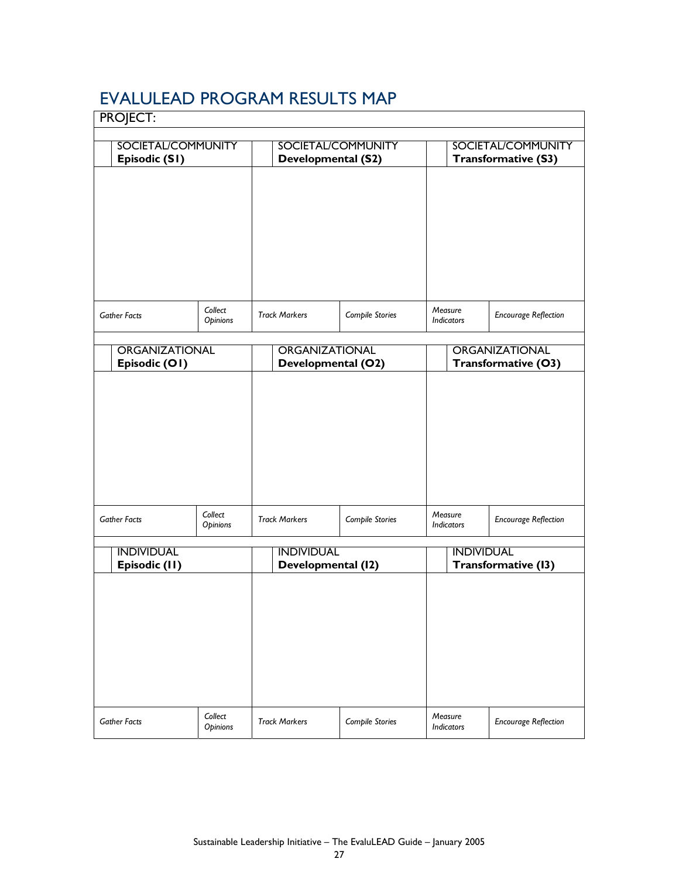## EVALULEAD PROGRAM RESULTS MAP

| <b>PROJECT:</b>                            |                     |                                             |                    |                                 |                                              |  |  |
|--------------------------------------------|---------------------|---------------------------------------------|--------------------|---------------------------------|----------------------------------------------|--|--|
| <b>SOCIETAL/COMMUNITY</b><br>Episodic (S1) |                     | <b>Developmental (S2)</b>                   | SOCIETAL/COMMUNITY |                                 | SOCIETAL/COMMUNITY<br>Transformative (S3)    |  |  |
| <b>Gather Facts</b>                        | Collect<br>Opinions | <b>Track Markers</b>                        | Compile Stories    | Measure<br><b>Indicators</b>    | <b>Encourage Reflection</b>                  |  |  |
| ORGANIZATIONAL<br>Episodic (O1)            |                     | <b>ORGANIZATIONAL</b><br>Developmental (O2) |                    |                                 | <b>ORGANIZATIONAL</b><br>Transformative (O3) |  |  |
| <b>Gather Facts</b>                        | Collect             | <b>Track Markers</b>                        | Compile Stories    | Measure                         | <b>Encourage Reflection</b>                  |  |  |
| <b>INDIVIDUAL</b>                          | Opinions            | <b>INDIVIDUAL</b>                           |                    | Indicators<br><b>INDIVIDUAL</b> |                                              |  |  |
| Episodic (II)                              |                     | Developmental (12)                          |                    |                                 | Transformative (13)                          |  |  |
| <b>Gather Facts</b>                        | Collect<br>Opinions | <b>Track Markers</b>                        | Compile Stories    | Measure<br>Indicators           | <b>Encourage Reflection</b>                  |  |  |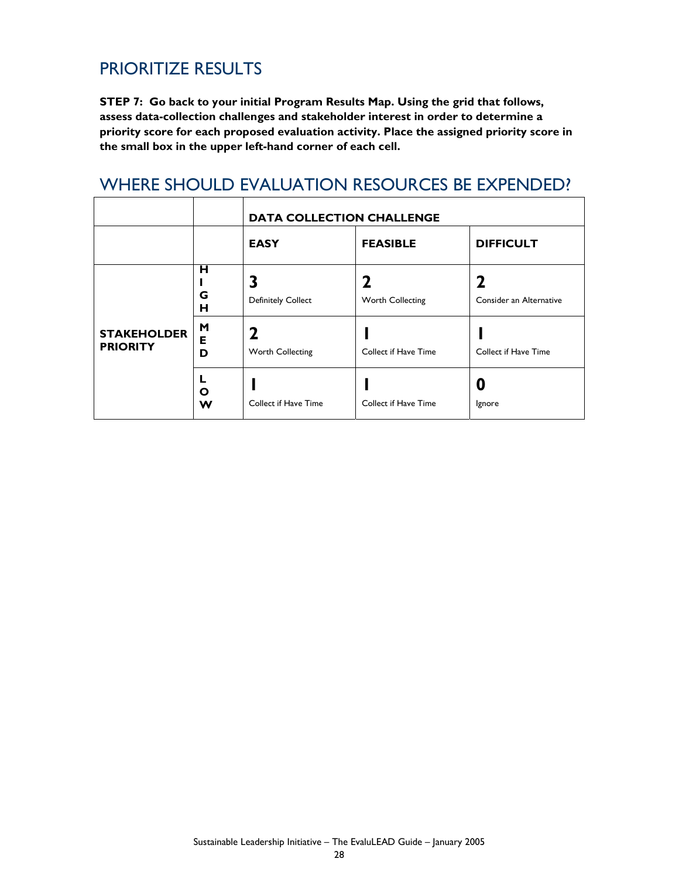## PRIORITIZE RESULTS

**STEP 7: Go back to your initial Program Results Map. Using the grid that follows, assess data-collection challenges and stakeholder interest in order to determine a priority score for each proposed evaluation activity. Place the assigned priority score in the small box in the upper left-hand corner of each cell.** 

### WHERE SHOULD EVALUATION RESOURCES BE EXPENDED?

|                                       |             | <b>DATA COLLECTION CHALLENGE</b> |                      |                         |  |  |  |
|---------------------------------------|-------------|----------------------------------|----------------------|-------------------------|--|--|--|
|                                       |             | <b>EASY</b>                      | <b>FEASIBLE</b>      | <b>DIFFICULT</b>        |  |  |  |
|                                       | н<br>G<br>н | <b>Definitely Collect</b>        | Worth Collecting     | Consider an Alternative |  |  |  |
| <b>STAKEHOLDER</b><br><b>PRIORITY</b> | M<br>Е<br>D | Worth Collecting                 | Collect if Have Time | Collect if Have Time    |  |  |  |
|                                       | L<br>O<br>W | Collect if Have Time             | Collect if Have Time | Ignore                  |  |  |  |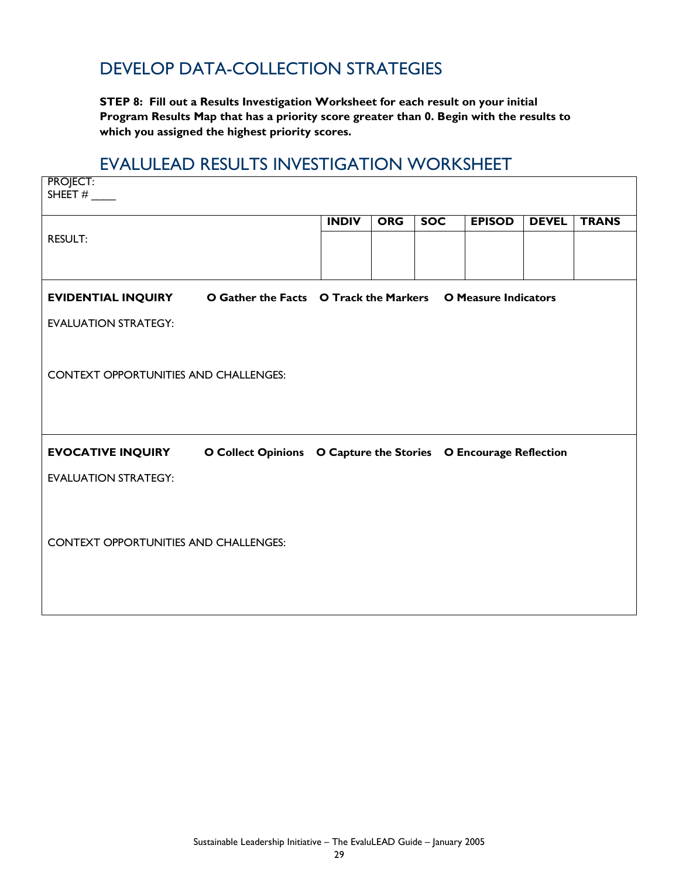## DEVELOP DATA-COLLECTION STRATEGIES

**STEP 8: Fill out a Results Investigation Worksheet for each result on your initial Program Results Map that has a priority score greater than 0. Begin with the results to which you assigned the highest priority scores.** 

### EVALULEAD RESULTS INVESTIGATION WORKSHEET

| <b>PROJECT:</b>                                                                |                                                                 |              |            |            |               |              |              |
|--------------------------------------------------------------------------------|-----------------------------------------------------------------|--------------|------------|------------|---------------|--------------|--------------|
|                                                                                |                                                                 |              |            |            |               |              |              |
|                                                                                |                                                                 | <b>INDIV</b> | <b>ORG</b> | <b>SOC</b> | <b>EPISOD</b> | <b>DEVEL</b> | <b>TRANS</b> |
| <b>RESULT:</b>                                                                 |                                                                 |              |            |            |               |              |              |
|                                                                                |                                                                 |              |            |            |               |              |              |
| EVIDENTIAL INQUIRY O Gather the Facts O Track the Markers O Measure Indicators |                                                                 |              |            |            |               |              |              |
|                                                                                |                                                                 |              |            |            |               |              |              |
| <b>EVALUATION STRATEGY:</b>                                                    |                                                                 |              |            |            |               |              |              |
|                                                                                |                                                                 |              |            |            |               |              |              |
| <b>CONTEXT OPPORTUNITIES AND CHALLENGES:</b>                                   |                                                                 |              |            |            |               |              |              |
|                                                                                |                                                                 |              |            |            |               |              |              |
|                                                                                |                                                                 |              |            |            |               |              |              |
|                                                                                |                                                                 |              |            |            |               |              |              |
| <b>EVOCATIVE INQUIRY</b>                                                       | O Collect Opinions O Capture the Stories O Encourage Reflection |              |            |            |               |              |              |
| <b>EVALUATION STRATEGY:</b>                                                    |                                                                 |              |            |            |               |              |              |
|                                                                                |                                                                 |              |            |            |               |              |              |
|                                                                                |                                                                 |              |            |            |               |              |              |
| <b>CONTEXT OPPORTUNITIES AND CHALLENGES:</b>                                   |                                                                 |              |            |            |               |              |              |
|                                                                                |                                                                 |              |            |            |               |              |              |
|                                                                                |                                                                 |              |            |            |               |              |              |
|                                                                                |                                                                 |              |            |            |               |              |              |
|                                                                                |                                                                 |              |            |            |               |              |              |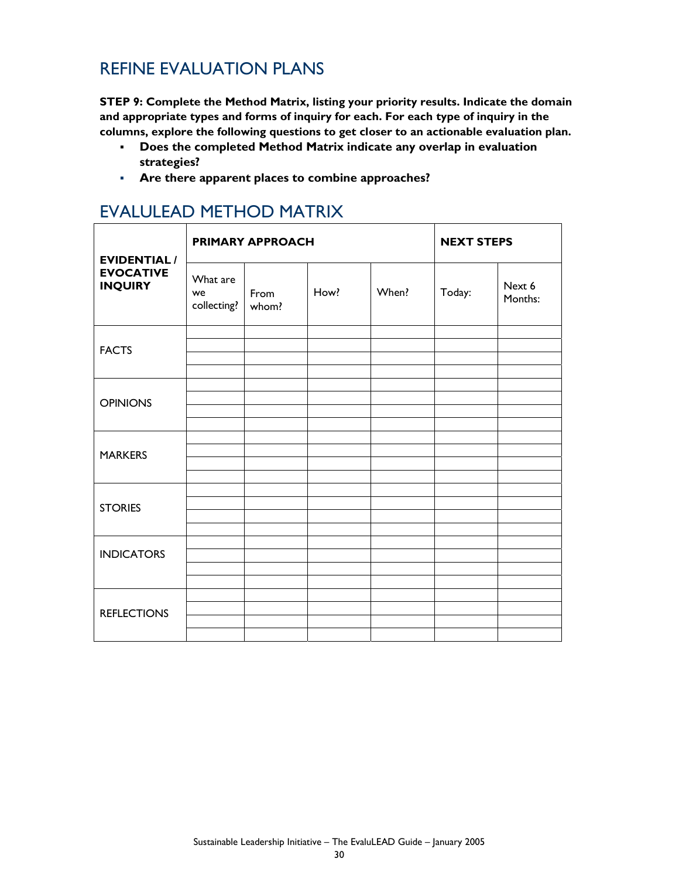## REFINE EVALUATION PLANS

**STEP 9: Complete the Method Matrix, listing your priority results. Indicate the domain and appropriate types and forms of inquiry for each. For each type of inquiry in the columns, explore the following questions to get closer to an actionable evaluation plan.**

- **Does the completed Method Matrix indicate any overlap in evaluation strategies?**
- **Are there apparent places to combine approaches?**

| <b>EVIDENTIAL /</b><br><b>EVOCATIVE</b><br><b>INQUIRY</b> |                               | <b>PRIMARY APPROACH</b> | <b>NEXT STEPS</b> |       |        |                   |
|-----------------------------------------------------------|-------------------------------|-------------------------|-------------------|-------|--------|-------------------|
|                                                           | What are<br>we<br>collecting? | From<br>whom?           | How?              | When? | Today: | Next 6<br>Months: |
| <b>FACTS</b>                                              |                               |                         |                   |       |        |                   |
| <b>OPINIONS</b>                                           |                               |                         |                   |       |        |                   |
| <b>MARKERS</b>                                            |                               |                         |                   |       |        |                   |
| <b>STORIES</b>                                            |                               |                         |                   |       |        |                   |
| <b>INDICATORS</b>                                         |                               |                         |                   |       |        |                   |
| <b>REFLECTIONS</b>                                        |                               |                         |                   |       |        |                   |

## EVALULEAD METHOD MATRIX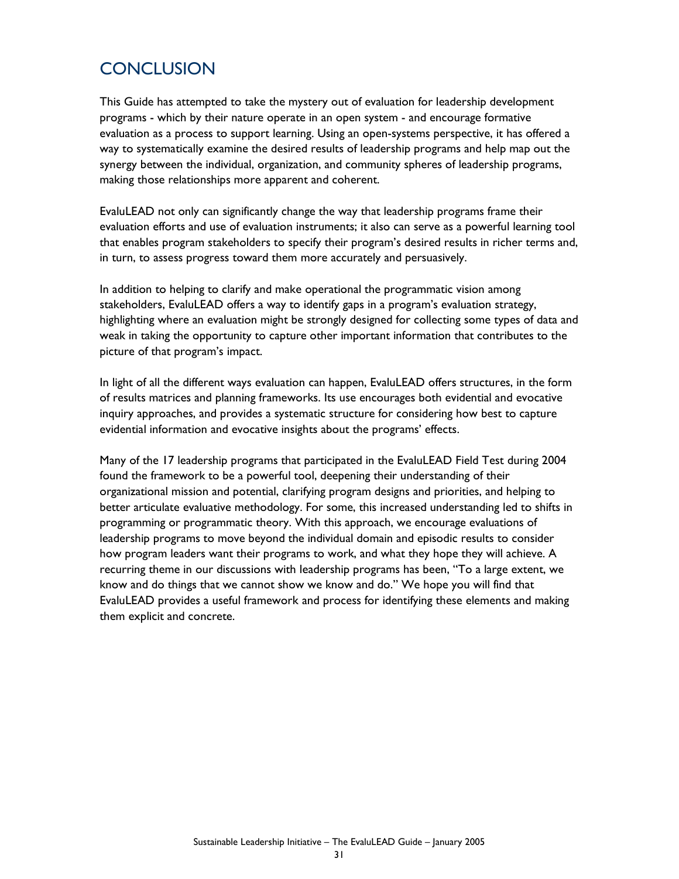## **CONCLUSION**

This Guide has attempted to take the mystery out of evaluation for leadership development programs - which by their nature operate in an open system - and encourage formative evaluation as a process to support learning. Using an open-systems perspective, it has offered a way to systematically examine the desired results of leadership programs and help map out the synergy between the individual, organization, and community spheres of leadership programs, making those relationships more apparent and coherent.

EvaluLEAD not only can significantly change the way that leadership programs frame their evaluation efforts and use of evaluation instruments; it also can serve as a powerful learning tool that enables program stakeholders to specify their program's desired results in richer terms and, in turn, to assess progress toward them more accurately and persuasively.

In addition to helping to clarify and make operational the programmatic vision among stakeholders, EvaluLEAD offers a way to identify gaps in a program's evaluation strategy, highlighting where an evaluation might be strongly designed for collecting some types of data and weak in taking the opportunity to capture other important information that contributes to the picture of that program's impact.

In light of all the different ways evaluation can happen, EvaluLEAD offers structures, in the form of results matrices and planning frameworks. Its use encourages both evidential and evocative inquiry approaches, and provides a systematic structure for considering how best to capture evidential information and evocative insights about the programs' effects.

Many of the 17 leadership programs that participated in the EvaluLEAD Field Test during 2004 found the framework to be a powerful tool, deepening their understanding of their organizational mission and potential, clarifying program designs and priorities, and helping to better articulate evaluative methodology. For some, this increased understanding led to shifts in programming or programmatic theory. With this approach, we encourage evaluations of leadership programs to move beyond the individual domain and episodic results to consider how program leaders want their programs to work, and what they hope they will achieve. A recurring theme in our discussions with leadership programs has been, "To a large extent, we know and do things that we cannot show we know and do." We hope you will find that EvaluLEAD provides a useful framework and process for identifying these elements and making them explicit and concrete.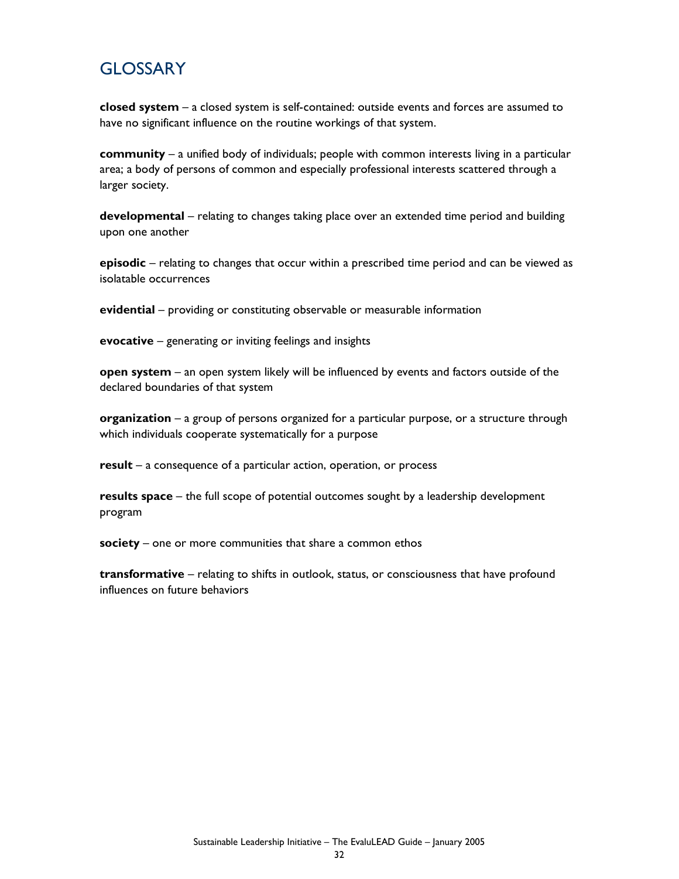## **GLOSSARY**

**closed system** – a closed system is self-contained: outside events and forces are assumed to have no significant influence on the routine workings of that system.

**community** – a unified body of individuals; people with common interests living in a particular area; a body of persons of common and especially professional interests scattered through a larger society.

**developmental** – relating to changes taking place over an extended time period and building upon one another

**episodic** – relating to changes that occur within a prescribed time period and can be viewed as isolatable occurrences

**evidential** – providing or constituting observable or measurable information

**evocative** – generating or inviting feelings and insights

**open system** – an open system likely will be influenced by events and factors outside of the declared boundaries of that system

**organization** – a group of persons organized for a particular purpose, or a structure through which individuals cooperate systematically for a purpose

**result** – a consequence of a particular action, operation, or process

**results space** – the full scope of potential outcomes sought by a leadership development program

**society** – one or more communities that share a common ethos

**transformative** – relating to shifts in outlook, status, or consciousness that have profound influences on future behaviors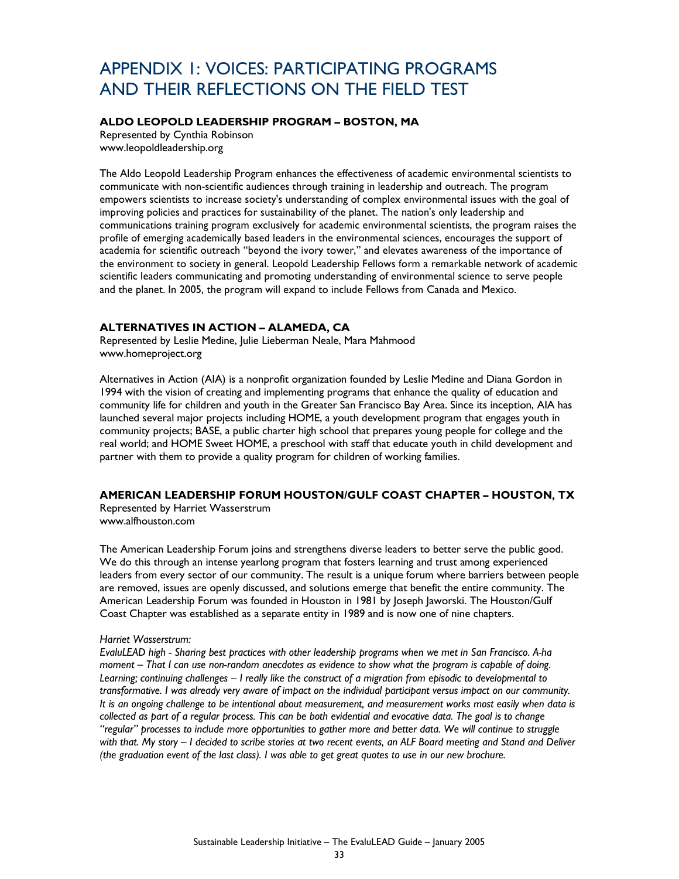## APPENDIX 1: VOICES: PARTICIPATING PROGRAMS AND THEIR REFLECTIONS ON THE FIELD TEST

### **ALDO LEOPOLD LEADERSHIP PROGRAM – BOSTON, MA**

Represented by Cynthia Robinson www.leopoldleadership.org

The Aldo Leopold Leadership Program enhances the effectiveness of academic environmental scientists to communicate with non-scientific audiences through training in leadership and outreach. The program empowers scientists to increase society's understanding of complex environmental issues with the goal of improving policies and practices for sustainability of the planet. The nation's only leadership and communications training program exclusively for academic environmental scientists, the program raises the profile of emerging academically based leaders in the environmental sciences, encourages the support of academia for scientific outreach "beyond the ivory tower," and elevates awareness of the importance of the environment to society in general. Leopold Leadership Fellows form a remarkable network of academic scientific leaders communicating and promoting understanding of environmental science to serve people and the planet. In 2005, the program will expand to include Fellows from Canada and Mexico.

#### **ALTERNATIVES IN ACTION – ALAMEDA, CA**

Represented by Leslie Medine, Julie Lieberman Neale, Mara Mahmood www.homeproject.org

Alternatives in Action (AIA) is a nonprofit organization founded by Leslie Medine and Diana Gordon in 1994 with the vision of creating and implementing programs that enhance the quality of education and community life for children and youth in the Greater San Francisco Bay Area. Since its inception, AIA has launched several major projects including HOME, a youth development program that engages youth in community projects; BASE, a public charter high school that prepares young people for college and the real world; and HOME Sweet HOME, a preschool with staff that educate youth in child development and partner with them to provide a quality program for children of working families.

### **AMERICAN LEADERSHIP FORUM HOUSTON/GULF COAST CHAPTER – HOUSTON, TX**

Represented by Harriet Wasserstrum www.alfhouston.com

The American Leadership Forum joins and strengthens diverse leaders to better serve the public good. We do this through an intense yearlong program that fosters learning and trust among experienced leaders from every sector of our community. The result is a unique forum where barriers between people are removed, issues are openly discussed, and solutions emerge that benefit the entire community. The American Leadership Forum was founded in Houston in 1981 by Joseph Jaworski. The Houston/Gulf Coast Chapter was established as a separate entity in 1989 and is now one of nine chapters.

#### *Harriet Wasserstrum:*

*EvaluLEAD high - Sharing best practices with other leadership programs when we met in San Francisco. A-ha moment – That I can use non-random anecdotes as evidence to show what the program is capable of doing. Learning; continuing challenges – I really like the construct of a migration from episodic to developmental to transformative. I was already very aware of impact on the individual participant versus impact on our community. It is an ongoing challenge to be intentional about measurement, and measurement works most easily when data is collected as part of a regular process. This can be both evidential and evocative data. The goal is to change "regular" processes to include more opportunities to gather more and better data. We will continue to struggle with that. My story – I decided to scribe stories at two recent events, an ALF Board meeting and Stand and Deliver (the graduation event of the last class). I was able to get great quotes to use in our new brochure.*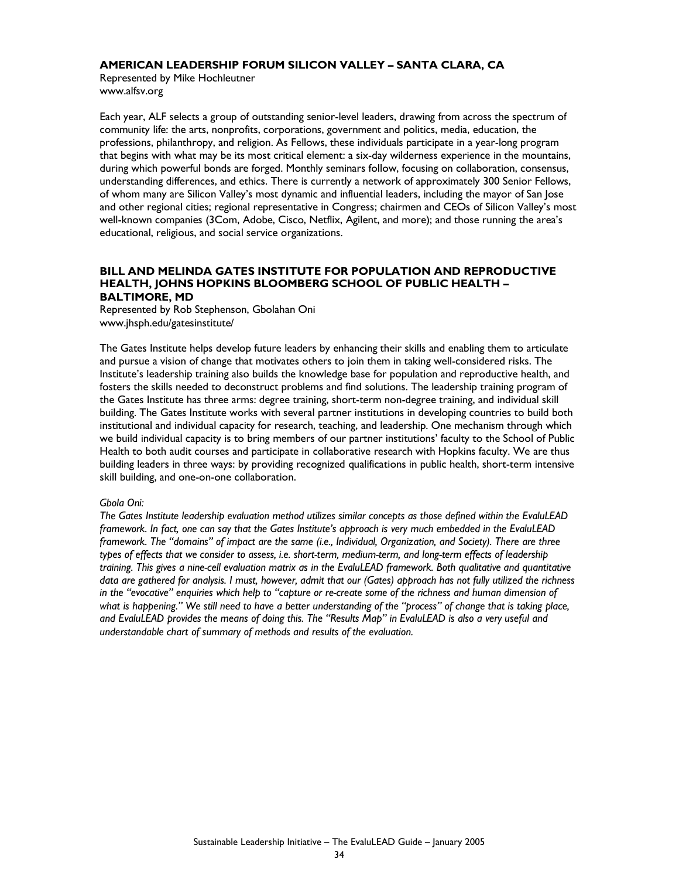#### **AMERICAN LEADERSHIP FORUM SILICON VALLEY – SANTA CLARA, CA**

Represented by Mike Hochleutner www.alfsv.org

Each year, ALF selects a group of outstanding senior-level leaders, drawing from across the spectrum of community life: the arts, nonprofits, corporations, government and politics, media, education, the professions, philanthropy, and religion. As Fellows, these individuals participate in a year-long program that begins with what may be its most critical element: a six-day wilderness experience in the mountains, during which powerful bonds are forged. Monthly seminars follow, focusing on collaboration, consensus, understanding differences, and ethics. There is currently a network of approximately 300 Senior Fellows, of whom many are Silicon Valley's most dynamic and influential leaders, including the mayor of San Jose and other regional cities; regional representative in Congress; chairmen and CEOs of Silicon Valley's most well-known companies (3Com, Adobe, Cisco, Netflix, Agilent, and more); and those running the area's educational, religious, and social service organizations.

#### **BILL AND MELINDA GATES INSTITUTE FOR POPULATION AND REPRODUCTIVE HEALTH, JOHNS HOPKINS BLOOMBERG SCHOOL OF PUBLIC HEALTH – BALTIMORE, MD**

Represented by Rob Stephenson, Gbolahan Oni www.jhsph.edu/gatesinstitute/

The Gates Institute helps develop future leaders by enhancing their skills and enabling them to articulate and pursue a vision of change that motivates others to join them in taking well-considered risks. The Institute's leadership training also builds the knowledge base for population and reproductive health, and fosters the skills needed to deconstruct problems and find solutions. The leadership training program of the Gates Institute has three arms: degree training, short-term non-degree training, and individual skill building. The Gates Institute works with several partner institutions in developing countries to build both institutional and individual capacity for research, teaching, and leadership. One mechanism through which we build individual capacity is to bring members of our partner institutions' faculty to the School of Public Health to both audit courses and participate in collaborative research with Hopkins faculty. We are thus building leaders in three ways: by providing recognized qualifications in public health, short-term intensive skill building, and one-on-one collaboration.

#### *Gbola Oni:*

*The Gates Institute leadership evaluation method utilizes similar concepts as those defined within the EvaluLEAD framework. In fact, one can say that the Gates Institute's approach is very much embedded in the EvaluLEAD*  framework. The "domains" of impact are the same (i.e., Individual, Organization, and Society). There are three *types of effects that we consider to assess, i.e. short-term, medium-term, and long-term effects of leadership*  training. This gives a nine-cell evaluation matrix as in the EvaluLEAD framework. Both qualitative and quantitative *data are gathered for analysis. I must, however, admit that our (Gates) approach has not fully utilized the richness in the "evocative" enquiries which help to "capture or re-create some of the richness and human dimension of*  what is happening." We still need to have a better understanding of the "process" of change that is taking place, *and EvaluLEAD provides the means of doing this. The "Results Map" in EvaluLEAD is also a very useful and understandable chart of summary of methods and results of the evaluation.*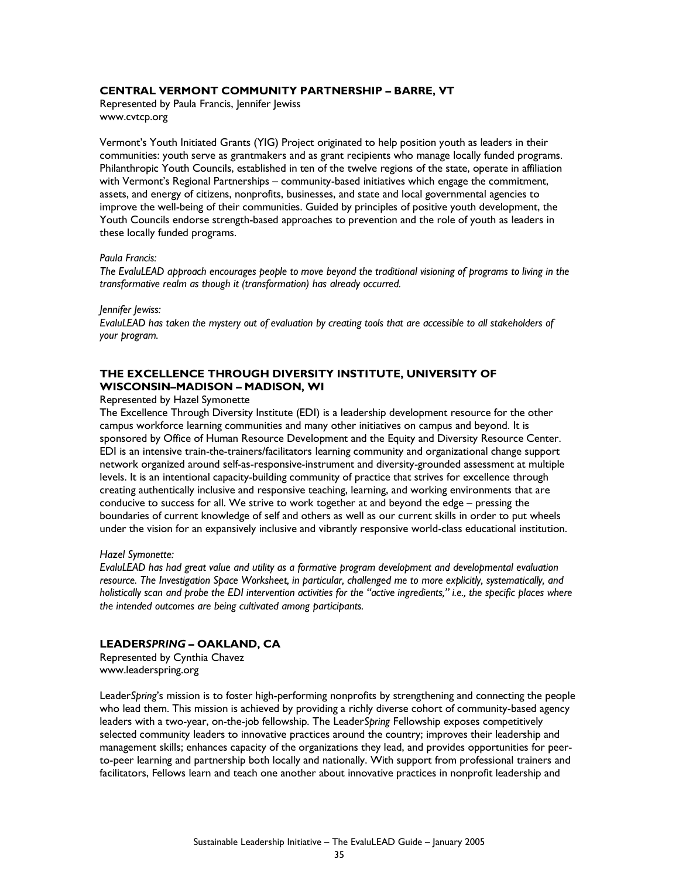#### **CENTRAL VERMONT COMMUNITY PARTNERSHIP – BARRE, VT**

Represented by Paula Francis, Jennifer Jewiss www.cvtcp.org

Vermont's Youth Initiated Grants (YIG) Project originated to help position youth as leaders in their communities: youth serve as grantmakers and as grant recipients who manage locally funded programs. Philanthropic Youth Councils, established in ten of the twelve regions of the state, operate in affiliation with Vermont's Regional Partnerships – community-based initiatives which engage the commitment, assets, and energy of citizens, nonprofits, businesses, and state and local governmental agencies to improve the well-being of their communities. Guided by principles of positive youth development, the Youth Councils endorse strength-based approaches to prevention and the role of youth as leaders in these locally funded programs.

#### *Paula Francis:*

*The EvaluLEAD approach encourages people to move beyond the traditional visioning of programs to living in the transformative realm as though it (transformation) has already occurred.* 

#### *Jennifer Jewiss:*

*EvaluLEAD has taken the mystery out of evaluation by creating tools that are accessible to all stakeholders of your program.* 

#### **THE EXCELLENCE THROUGH DIVERSITY INSTITUTE, UNIVERSITY OF WISCONSIN–MADISON – MADISON, WI**

#### Represented by Hazel Symonette

The Excellence Through Diversity Institute (EDI) is a leadership development resource for the other campus workforce learning communities and many other initiatives on campus and beyond. It is sponsored by Office of Human Resource Development and the Equity and Diversity Resource Center. EDI is an intensive train-the-trainers/facilitators learning community and organizational change support network organized around self-as-responsive-instrument and diversity-grounded assessment at multiple levels. It is an intentional capacity-building community of practice that strives for excellence through creating authentically inclusive and responsive teaching, learning, and working environments that are conducive to success for all. We strive to work together at and beyond the edge – pressing the boundaries of current knowledge of self and others as well as our current skills in order to put wheels under the vision for an expansively inclusive and vibrantly responsive world-class educational institution.

#### *Hazel Symonette:*

*EvaluLEAD has had great value and utility as a formative program development and developmental evaluation resource. The Investigation Space Worksheet, in particular, challenged me to more explicitly, systematically, and holistically scan and probe the EDI intervention activities for the "active ingredients," i.e., the specific places where the intended outcomes are being cultivated among participants.* 

#### **LEADER***SPRING* **– OAKLAND, CA**

Represented by Cynthia Chavez www.leaderspring.org

Leader*Spring*'s mission is to foster high-performing nonprofits by strengthening and connecting the people who lead them. This mission is achieved by providing a richly diverse cohort of community-based agency leaders with a two-year, on-the-job fellowship. The Leader*Spring* Fellowship exposes competitively selected community leaders to innovative practices around the country; improves their leadership and management skills; enhances capacity of the organizations they lead, and provides opportunities for peerto-peer learning and partnership both locally and nationally. With support from professional trainers and facilitators, Fellows learn and teach one another about innovative practices in nonprofit leadership and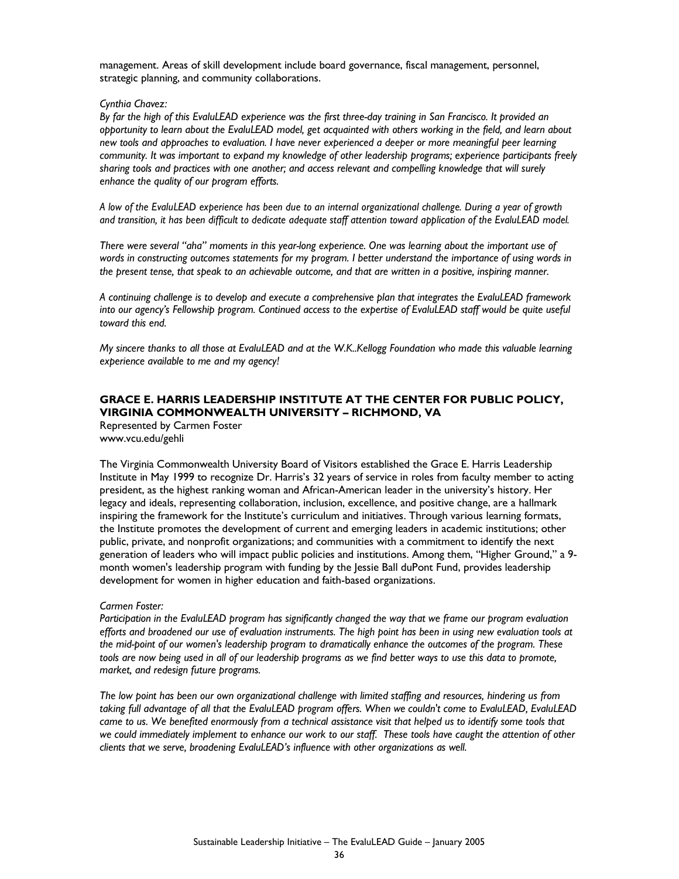management. Areas of skill development include board governance, fiscal management, personnel, strategic planning, and community collaborations.

#### *Cynthia Chavez:*

*By far the high of this EvaluLEAD experience was the first three-day training in San Francisco. It provided an opportunity to learn about the EvaluLEAD model, get acquainted with others working in the field, and learn about new tools and approaches to evaluation. I have never experienced a deeper or more meaningful peer learning community. It was important to expand my knowledge of other leadership programs; experience participants freely sharing tools and practices with one another; and access relevant and compelling knowledge that will surely enhance the quality of our program efforts.* 

*A low of the EvaluLEAD experience has been due to an internal organizational challenge. During a year of growth and transition, it has been difficult to dedicate adequate staff attention toward application of the EvaluLEAD model.* 

*There were several "aha" moments in this year-long experience. One was learning about the important use of*  words in constructing outcomes statements for my program. I better understand the importance of using words in *the present tense, that speak to an achievable outcome, and that are written in a positive, inspiring manner.* 

*A continuing challenge is to develop and execute a comprehensive plan that integrates the EvaluLEAD framework*  into our agency's Fellowship program. Continued access to the expertise of EvaluLEAD staff would be quite useful *toward this end.*

*My sincere thanks to all those at EvaluLEAD and at the W.K..Kellogg Foundation who made this valuable learning experience available to me and my agency!* 

#### **GRACE E. HARRIS LEADERSHIP INSTITUTE AT THE CENTER FOR PUBLIC POLICY, VIRGINIA COMMONWEALTH UNIVERSITY – RICHMOND, VA**

Represented by Carmen Foster www.vcu.edu/gehli

The Virginia Commonwealth University Board of Visitors established the Grace E. Harris Leadership Institute in May 1999 to recognize Dr. Harris's 32 years of service in roles from faculty member to acting president, as the highest ranking woman and African-American leader in the university's history. Her legacy and ideals, representing collaboration, inclusion, excellence, and positive change, are a hallmark inspiring the framework for the Institute's curriculum and initiatives. Through various learning formats, the Institute promotes the development of current and emerging leaders in academic institutions; other public, private, and nonprofit organizations; and communities with a commitment to identify the next generation of leaders who will impact public policies and institutions. Among them, "Higher Ground," a 9 month women's leadership program with funding by the Jessie Ball duPont Fund, provides leadership development for women in higher education and faith-based organizations.

#### *Carmen Foster:*

*Participation in the EvaluLEAD program has significantly changed the way that we frame our program evaluation efforts and broadened our use of evaluation instruments. The high point has been in using new evaluation tools at the mid-point of our women's leadership program to dramatically enhance the outcomes of the program. These*  tools are now being used in all of our leadership programs as we find better ways to use this data to promote, *market, and redesign future programs.* 

*The low point has been our own organizational challenge with limited staffing and resources, hindering us from taking full advantage of all that the EvaluLEAD program offers. When we couldn't come to EvaluLEAD, EvaluLEAD*  came to us. We benefited enormously from a technical assistance visit that helped us to identify some tools that *we could immediately implement to enhance our work to our staff. These tools have caught the attention of other clients that we serve, broadening EvaluLEAD's influence with other organizations as well.*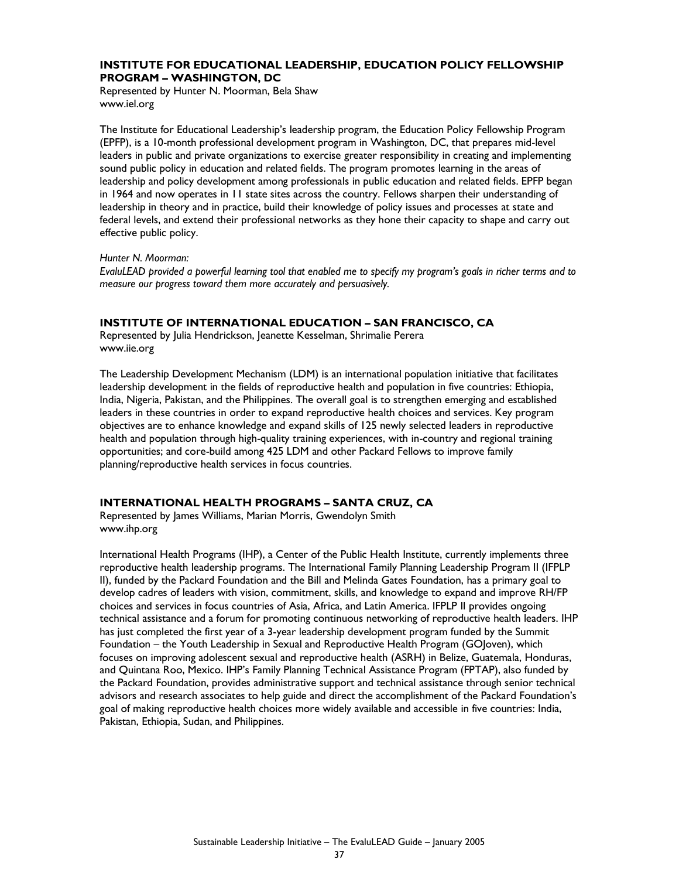#### **INSTITUTE FOR EDUCATIONAL LEADERSHIP, EDUCATION POLICY FELLOWSHIP PROGRAM – WASHINGTON, DC**

Represented by Hunter N. Moorman, Bela Shaw www.iel.org

The Institute for Educational Leadership's leadership program, the Education Policy Fellowship Program (EPFP), is a 10-month professional development program in Washington, DC, that prepares mid-level leaders in public and private organizations to exercise greater responsibility in creating and implementing sound public policy in education and related fields. The program promotes learning in the areas of leadership and policy development among professionals in public education and related fields. EPFP began in 1964 and now operates in 11 state sites across the country. Fellows sharpen their understanding of leadership in theory and in practice, build their knowledge of policy issues and processes at state and federal levels, and extend their professional networks as they hone their capacity to shape and carry out effective public policy.

#### *Hunter N. Moorman:*

*EvaluLEAD provided a powerful learning tool that enabled me to specify my program's goals in richer terms and to measure our progress toward them more accurately and persuasively.* 

#### **INSTITUTE OF INTERNATIONAL EDUCATION – SAN FRANCISCO, CA**

Represented by Julia Hendrickson, Jeanette Kesselman, Shrimalie Perera www.iie.org

The Leadership Development Mechanism (LDM) is an international population initiative that facilitates leadership development in the fields of reproductive health and population in five countries: Ethiopia, India, Nigeria, Pakistan, and the Philippines. The overall goal is to strengthen emerging and established leaders in these countries in order to expand reproductive health choices and services. Key program objectives are to enhance knowledge and expand skills of 125 newly selected leaders in reproductive health and population through high-quality training experiences, with in-country and regional training opportunities; and core-build among 425 LDM and other Packard Fellows to improve family planning/reproductive health services in focus countries.

#### **INTERNATIONAL HEALTH PROGRAMS – SANTA CRUZ, CA**

Represented by James Williams, Marian Morris, Gwendolyn Smith www.ihp.org

International Health Programs (IHP), a Center of the Public Health Institute, currently implements three reproductive health leadership programs. The International Family Planning Leadership Program II (IFPLP II), funded by the Packard Foundation and the Bill and Melinda Gates Foundation, has a primary goal to develop cadres of leaders with vision, commitment, skills, and knowledge to expand and improve RH/FP choices and services in focus countries of Asia, Africa, and Latin America. IFPLP II provides ongoing technical assistance and a forum for promoting continuous networking of reproductive health leaders. IHP has just completed the first year of a 3-year leadership development program funded by the Summit Foundation – the Youth Leadership in Sexual and Reproductive Health Program (GOJoven), which focuses on improving adolescent sexual and reproductive health (ASRH) in Belize, Guatemala, Honduras, and Quintana Roo, Mexico. IHP's Family Planning Technical Assistance Program (FPTAP), also funded by the Packard Foundation, provides administrative support and technical assistance through senior technical advisors and research associates to help guide and direct the accomplishment of the Packard Foundation's goal of making reproductive health choices more widely available and accessible in five countries: India, Pakistan, Ethiopia, Sudan, and Philippines.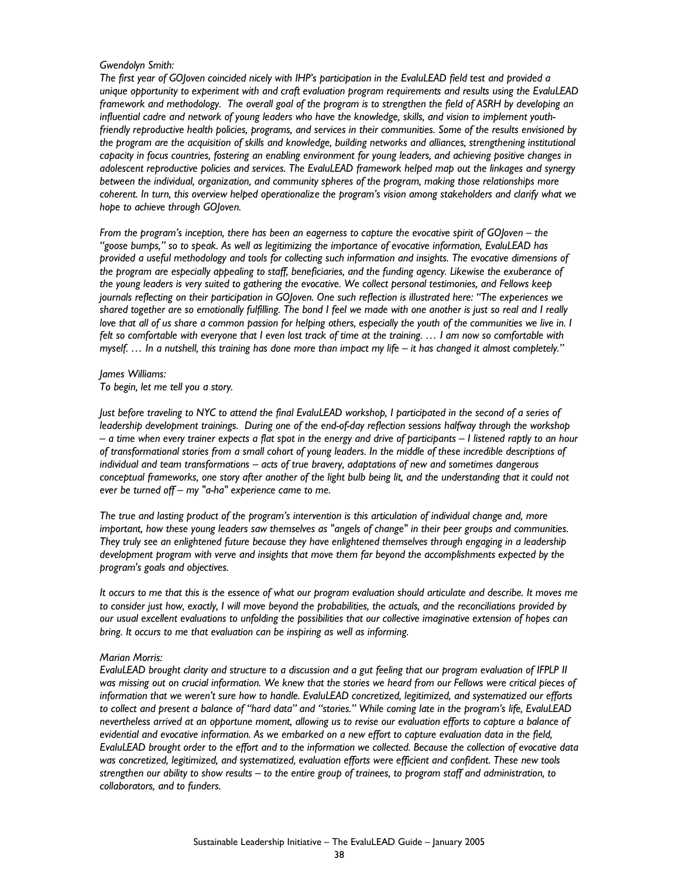#### *Gwendolyn Smith:*

*The first year of GOJoven coincided nicely with IHP's participation in the EvaluLEAD field test and provided a unique opportunity to experiment with and craft evaluation program requirements and results using the EvaluLEAD*  framework and methodology. The overall goal of the program is to strengthen the field of ASRH by developing an *influential cadre and network of young leaders who have the knowledge, skills, and vision to implement youthfriendly reproductive health policies, programs, and services in their communities. Some of the results envisioned by*  the program are the acquisition of skills and knowledge, building networks and alliances, strengthening institutional *capacity in focus countries, fostering an enabling environment for young leaders, and achieving positive changes in adolescent reproductive policies and services. The EvaluLEAD framework helped map out the linkages and synergy between the individual, organization, and community spheres of the program, making those relationships more coherent. In turn, this overview helped operationalize the program's vision among stakeholders and clarify what we hope to achieve through GOJoven.* 

*From the program's inception, there has been an eagerness to capture the evocative spirit of GOJoven – the "goose bumps," so to speak. As well as legitimizing the importance of evocative information, EvaluLEAD has provided a useful methodology and tools for collecting such information and insights. The evocative dimensions of the program are especially appealing to staff, beneficiaries, and the funding agency. Likewise the exuberance of the young leaders is very suited to gathering the evocative. We collect personal testimonies, and Fellows keep journals reflecting on their participation in GOJoven. One such reflection is illustrated here: "The experiences we shared together are so emotionally fulfilling. The bond I feel we made with one another is just so real and I really love that all of us share a common passion for helping others, especially the youth of the communities we live in. I* felt so comfortable with everyone that I even lost track of time at the training. ... I am now so comfortable with *myself. … In a nutshell, this training has done more than impact my life – it has changed it almost completely."* 

#### *James Williams:*

*To begin, let me tell you a story.* 

*Just before traveling to NYC to attend the final EvaluLEAD workshop, I participated in the second of a series of leadership development trainings. During one of the end-of-day reflection sessions halfway through the workshop – a time when every trainer expects a flat spot in the energy and drive of participants – I listened raptly to an hour of transformational stories from a small cohort of young leaders. In the middle of these incredible descriptions of individual and team transformations – acts of true bravery, adaptations of new and sometimes dangerous*  conceptual frameworks, one story after another of the light bulb being lit, and the understanding that it could not *ever be turned off – my "a-ha" experience came to me.* 

*The true and lasting product of the program's intervention is this articulation of individual change and, more important, how these young leaders saw themselves as "angels of change" in their peer groups and communities. They truly see an enlightened future because they have enlightened themselves through engaging in a leadership development program with verve and insights that move them far beyond the accomplishments expected by the program's goals and objectives.* 

*It occurs to me that this is the essence of what our program evaluation should articulate and describe. It moves me to consider just how, exactly, I will move beyond the probabilities, the actuals, and the reconciliations provided by our usual excellent evaluations to unfolding the possibilities that our collective imaginative extension of hopes can bring. It occurs to me that evaluation can be inspiring as well as informing.* 

#### *Marian Morris:*

*EvaluLEAD brought clarity and structure to a discussion and a gut feeling that our program evaluation of IFPLP II was missing out on crucial information. We knew that the stories we heard from our Fellows were critical pieces of information that we weren't sure how to handle. EvaluLEAD concretized, legitimized, and systematized our efforts to collect and present a balance of "hard data" and "stories." While coming late in the program's life, EvaluLEAD nevertheless arrived at an opportune moment, allowing us to revise our evaluation efforts to capture a balance of evidential and evocative information. As we embarked on a new effort to capture evaluation data in the field, EvaluLEAD brought order to the effort and to the information we collected. Because the collection of evocative data was concretized, legitimized, and systematized, evaluation efforts were efficient and confident. These new tools strengthen our ability to show results – to the entire group of trainees, to program staff and administration, to collaborators, and to funders.*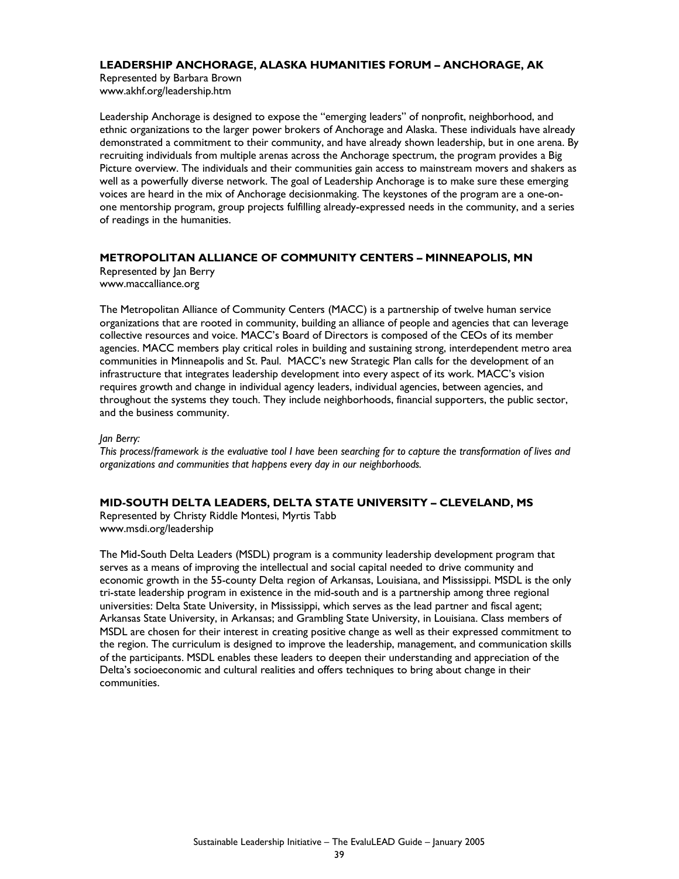#### **LEADERSHIP ANCHORAGE, ALASKA HUMANITIES FORUM – ANCHORAGE, AK**

Represented by Barbara Brown www.akhf.org/leadership.htm

Leadership Anchorage is designed to expose the "emerging leaders" of nonprofit, neighborhood, and ethnic organizations to the larger power brokers of Anchorage and Alaska. These individuals have already demonstrated a commitment to their community, and have already shown leadership, but in one arena. By recruiting individuals from multiple arenas across the Anchorage spectrum, the program provides a Big Picture overview. The individuals and their communities gain access to mainstream movers and shakers as well as a powerfully diverse network. The goal of Leadership Anchorage is to make sure these emerging voices are heard in the mix of Anchorage decisionmaking. The keystones of the program are a one-onone mentorship program, group projects fulfilling already-expressed needs in the community, and a series of readings in the humanities.

#### **METROPOLITAN ALLIANCE OF COMMUNITY CENTERS – MINNEAPOLIS, MN**

Represented by Jan Berry www.maccalliance.org

The Metropolitan Alliance of Community Centers (MACC) is a partnership of twelve human service organizations that are rooted in community, building an alliance of people and agencies that can leverage collective resources and voice. MACC's Board of Directors is composed of the CEOs of its member agencies. MACC members play critical roles in building and sustaining strong, interdependent metro area communities in Minneapolis and St. Paul. MACC's new Strategic Plan calls for the development of an infrastructure that integrates leadership development into every aspect of its work. MACC's vision requires growth and change in individual agency leaders, individual agencies, between agencies, and throughout the systems they touch. They include neighborhoods, financial supporters, the public sector, and the business community.

#### *Jan Berry:*

*This process/framework is the evaluative tool I have been searching for to capture the transformation of lives and organizations and communities that happens every day in our neighborhoods.* 

#### **MID-SOUTH DELTA LEADERS, DELTA STATE UNIVERSITY – CLEVELAND, MS**

Represented by Christy Riddle Montesi, Myrtis Tabb www.msdi.org/leadership

The Mid-South Delta Leaders (MSDL) program is a community leadership development program that serves as a means of improving the intellectual and social capital needed to drive community and economic growth in the 55-county Delta region of Arkansas, Louisiana, and Mississippi. MSDL is the only tri-state leadership program in existence in the mid-south and is a partnership among three regional universities: Delta State University, in Mississippi, which serves as the lead partner and fiscal agent; Arkansas State University, in Arkansas; and Grambling State University, in Louisiana. Class members of MSDL are chosen for their interest in creating positive change as well as their expressed commitment to the region. The curriculum is designed to improve the leadership, management, and communication skills of the participants. MSDL enables these leaders to deepen their understanding and appreciation of the Delta's socioeconomic and cultural realities and offers techniques to bring about change in their communities.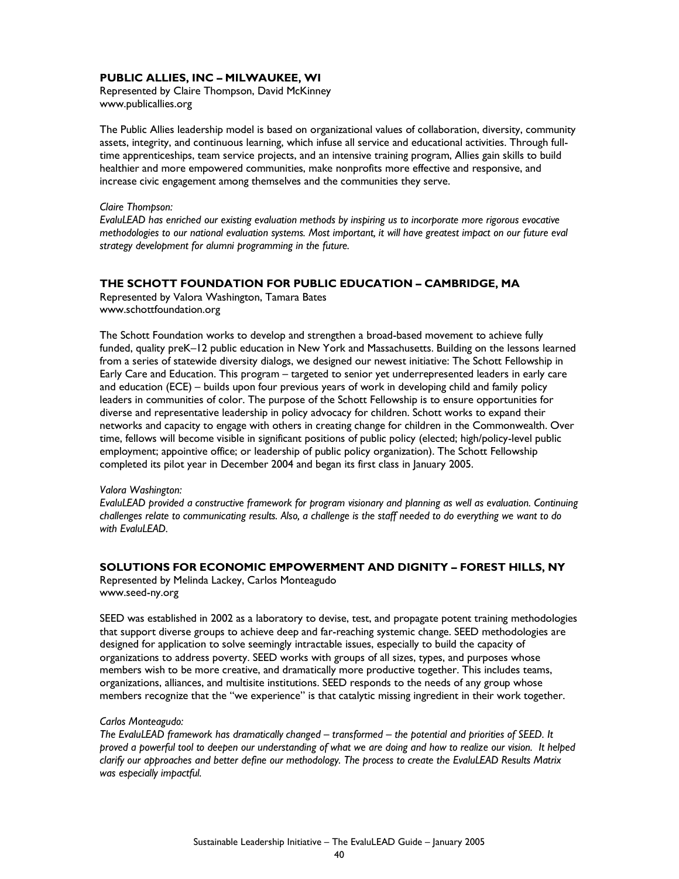#### **PUBLIC ALLIES, INC – MILWAUKEE, WI**

Represented by Claire Thompson, David McKinney www.publicallies.org

The Public Allies leadership model is based on organizational values of collaboration, diversity, community assets, integrity, and continuous learning, which infuse all service and educational activities. Through fulltime apprenticeships, team service projects, and an intensive training program, Allies gain skills to build healthier and more empowered communities, make nonprofits more effective and responsive, and increase civic engagement among themselves and the communities they serve.

*Claire Thompson:* 

*EvaluLEAD has enriched our existing evaluation methods by inspiring us to incorporate more rigorous evocative methodologies to our national evaluation systems. Most important, it will have greatest impact on our future eval strategy development for alumni programming in the future.* 

#### **THE SCHOTT FOUNDATION FOR PUBLIC EDUCATION – CAMBRIDGE, MA**

Represented by Valora Washington, Tamara Bates www.schottfoundation.org

The Schott Foundation works to develop and strengthen a broad-based movement to achieve fully funded, quality preK–12 public education in New York and Massachusetts. Building on the lessons learned from a series of statewide diversity dialogs, we designed our newest initiative: The Schott Fellowship in Early Care and Education. This program – targeted to senior yet underrepresented leaders in early care and education (ECE) – builds upon four previous years of work in developing child and family policy leaders in communities of color. The purpose of the Schott Fellowship is to ensure opportunities for diverse and representative leadership in policy advocacy for children. Schott works to expand their networks and capacity to engage with others in creating change for children in the Commonwealth. Over time, fellows will become visible in significant positions of public policy (elected; high/policy-level public employment; appointive office; or leadership of public policy organization). The Schott Fellowship completed its pilot year in December 2004 and began its first class in January 2005.

#### *Valora Washington:*

*EvaluLEAD provided a constructive framework for program visionary and planning as well as evaluation. Continuing challenges relate to communicating results. Also, a challenge is the staff needed to do everything we want to do*  with Fvalul FAD.

#### **SOLUTIONS FOR ECONOMIC EMPOWERMENT AND DIGNITY – FOREST HILLS, NY**

Represented by Melinda Lackey, Carlos Monteagudo www.seed-ny.org

SEED was established in 2002 as a laboratory to devise, test, and propagate potent training methodologies that support diverse groups to achieve deep and far-reaching systemic change. SEED methodologies are designed for application to solve seemingly intractable issues, especially to build the capacity of organizations to address poverty. SEED works with groups of all sizes, types, and purposes whose members wish to be more creative, and dramatically more productive together. This includes teams, organizations, alliances, and multisite institutions. SEED responds to the needs of any group whose members recognize that the "we experience" is that catalytic missing ingredient in their work together.

#### *Carlos Monteagudo:*

*The EvaluLEAD framework has dramatically changed – transformed – the potential and priorities of SEED. It proved a powerful tool to deepen our understanding of what we are doing and how to realize our vision. It helped clarify our approaches and better define our methodology. The process to create the EvaluLEAD Results Matrix was especially impactful.*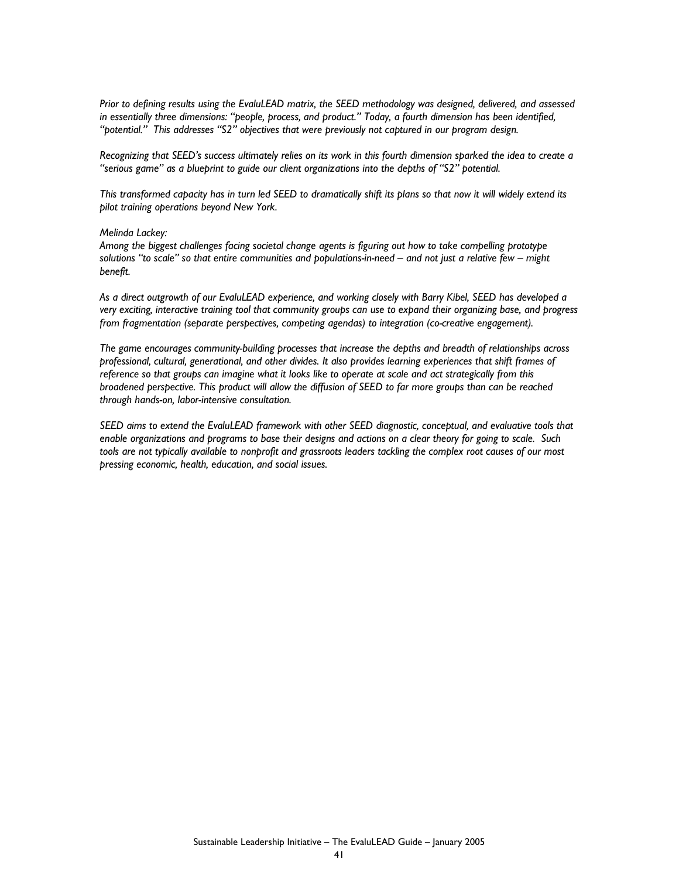*Prior to defining results using the EvaluLEAD matrix, the SEED methodology was designed, delivered, and assessed in essentially three dimensions: "people, process, and product." Today, a fourth dimension has been identified, "potential." This addresses "S2" objectives that were previously not captured in our program design.* 

*Recognizing that SEED's success ultimately relies on its work in this fourth dimension sparked the idea to create a "serious game" as a blueprint to guide our client organizations into the depths of "S2" potential.* 

*This transformed capacity has in turn led SEED to dramatically shift its plans so that now it will widely extend its pilot training operations beyond New York.* 

#### *Melinda Lackey:*

*Among the biggest challenges facing societal change agents is figuring out how to take compelling prototype solutions "to scale" so that entire communities and populations-in-need – and not just a relative few – might benefit.* 

*As a direct outgrowth of our EvaluLEAD experience, and working closely with Barry Kibel, SEED has developed a very exciting, interactive training tool that community groups can use to expand their organizing base, and progress from fragmentation (separate perspectives, competing agendas) to integration (co-creative engagement).* 

*The game encourages community-building processes that increase the depths and breadth of relationships across professional, cultural, generational, and other divides. It also provides learning experiences that shift frames of reference so that groups can imagine what it looks like to operate at scale and act strategically from this broadened perspective. This product will allow the diffusion of SEED to far more groups than can be reached through hands-on, labor-intensive consultation.* 

*SEED aims to extend the EvaluLEAD framework with other SEED diagnostic, conceptual, and evaluative tools that enable organizations and programs to base their designs and actions on a clear theory for going to scale. Such tools are not typically available to nonprofit and grassroots leaders tackling the complex root causes of our most pressing economic, health, education, and social issues.*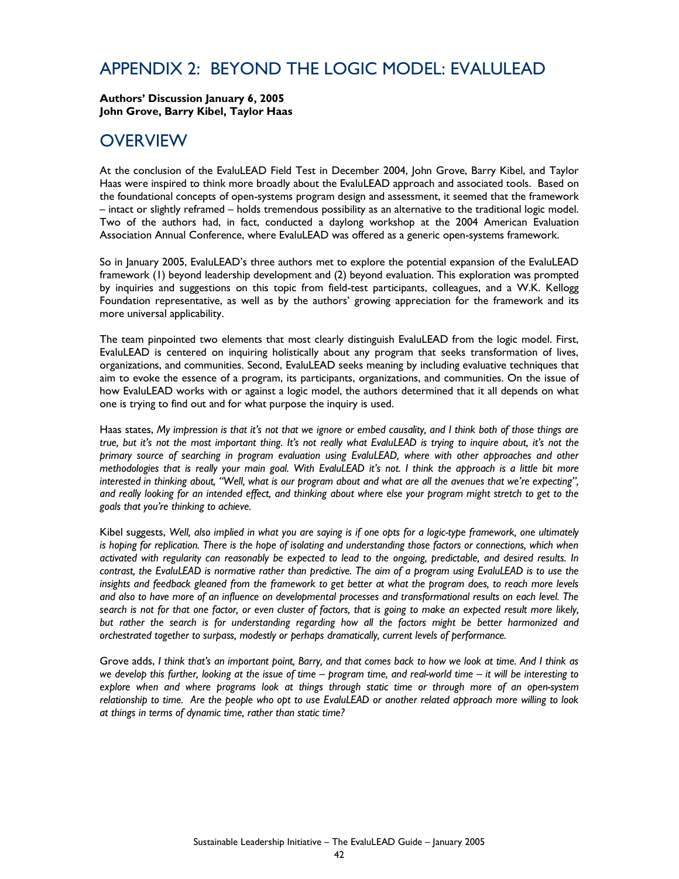### APPENDIX 2: BEYOND THE LOGIC MODEL: EVALULEAD

**Authors' Discussion January 6, 2005 John Grove, Barry Kibel, Taylor Haas** 

### **OVERVIEW**

At the conclusion of the EvaluLEAD Field Test in December 2004, John Grove, Barry Kibel, and Taylor Haas were inspired to think more broadly about the EvaluLEAD approach and associated tools. Based on the foundational concepts of open-systems program design and assessment, it seemed that the framework – intact or slightly reframed – holds tremendous possibility as an alternative to the traditional logic model. Two of the authors had, in fact, conducted a daylong workshop at the 2004 American Evaluation Association Annual Conference, where EvaluLEAD was offered as a generic open-systems framework.

So in January 2005, EvaluLEAD's three authors met to explore the potential expansion of the EvaluLEAD framework (1) beyond leadership development and (2) beyond evaluation. This exploration was prompted by inquiries and suggestions on this topic from field-test participants, colleagues, and a W.K. Kellogg Foundation representative, as well as by the authors' growing appreciation for the framework and its more universal applicability.

The team pinpointed two elements that most clearly distinguish EvaluLEAD from the logic model. First, EvaluLEAD is centered on inquiring holistically about any program that seeks transformation of lives, organizations, and communities. Second, EvaluLEAD seeks meaning by including evaluative techniques that aim to evoke the essence of a program, its participants, organizations, and communities. On the issue of how EvaluLEAD works with or against a logic model, the authors determined that it all depends on what one is trying to find out and for what purpose the inquiry is used.

Haas states, *My impression is that it's not that we ignore or embed causality, and I think both of those things are true, but it's not the most important thing. It's not really what EvaluLEAD is trying to inquire about, it's not the primary source of searching in program evaluation using EvaluLEAD, where with other approaches and other methodologies that is really your main goal. With EvaluLEAD it's not. I think the approach is a little bit more*  interested in thinking about, "Well, what is our program about and what are all the avenues that we're expecting", *and really looking for an intended effect, and thinking about where else your program might stretch to get to the goals that you're thinking to achieve.*

Kibel suggests, *Well, also implied in what you are saying is if one opts for a logic-type framework, one ultimately is hoping for replication. There is the hope of isolating and understanding those factors or connections, which when activated with regularity can reasonably be expected to lead to the ongoing, predictable, and desired results. In contrast, the EvaluLEAD is normative rather than predictive. The aim of a program using EvaluLEAD is to use the*  insights and feedback gleaned from the framework to get better at what the program does, to reach more levels *and also to have more of an influence on developmental processes and transformational results on each level. The search is not for that one factor, or even cluster of factors, that is going to make an expected result more likely, but rather the search is for understanding regarding how all the factors might be better harmonized and orchestrated together to surpass, modestly or perhaps dramatically, current levels of performance.*

Grove adds, *I think that's an important point, Barry, and that comes back to how we look at time. And I think as we develop this further, looking at the issue of time – program time, and real-world time – it will be interesting to explore when and where programs look at things through static time or through more of an open-system relationship to time. Are the people who opt to use EvaluLEAD or another related approach more willing to look at things in terms of dynamic time, rather than static time?*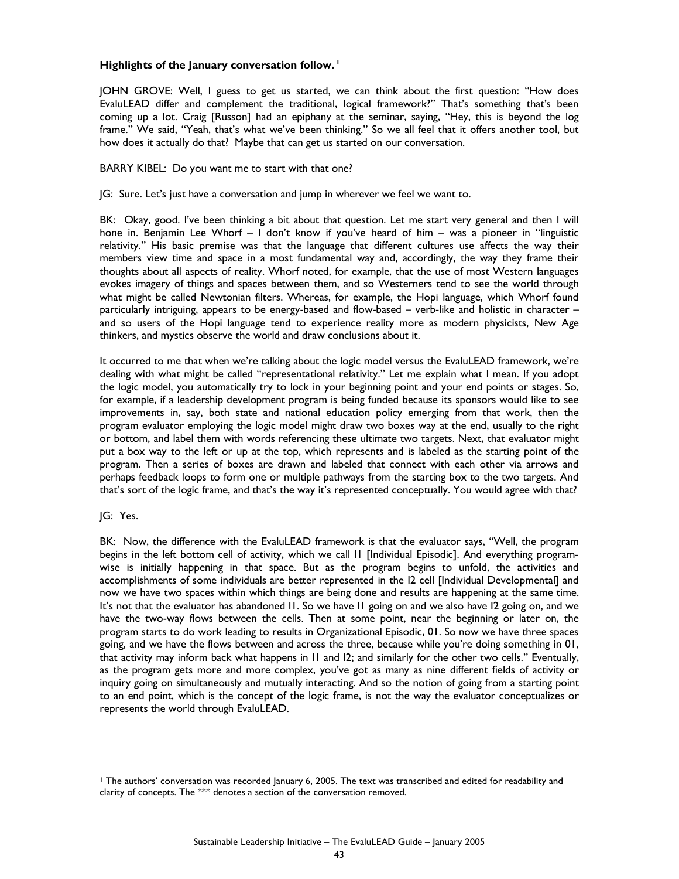#### **Highlights of the January conversation follow. 1**

JOHN GROVE: Well, I guess to get us started, we can think about the first question: "How does EvaluLEAD differ and complement the traditional, logical framework?" That's something that's been coming up a lot. Craig [Russon] had an epiphany at the seminar, saying, "Hey, this is beyond the log frame." We said, "Yeah, that's what we've been thinking." So we all feel that it offers another tool, but how does it actually do that? Maybe that can get us started on our conversation.

#### BARRY KIBEL: Do you want me to start with that one?

JG: Sure. Let's just have a conversation and jump in wherever we feel we want to.

BK: Okay, good. I've been thinking a bit about that question. Let me start very general and then I will hone in. Benjamin Lee Whorf – I don't know if you've heard of him – was a pioneer in "linguistic relativity." His basic premise was that the language that different cultures use affects the way their members view time and space in a most fundamental way and, accordingly, the way they frame their thoughts about all aspects of reality. Whorf noted, for example, that the use of most Western languages evokes imagery of things and spaces between them, and so Westerners tend to see the world through what might be called Newtonian filters. Whereas, for example, the Hopi language, which Whorf found particularly intriguing, appears to be energy-based and flow-based – verb-like and holistic in character – and so users of the Hopi language tend to experience reality more as modern physicists, New Age thinkers, and mystics observe the world and draw conclusions about it.

It occurred to me that when we're talking about the logic model versus the EvaluLEAD framework, we're dealing with what might be called "representational relativity." Let me explain what I mean. If you adopt the logic model, you automatically try to lock in your beginning point and your end points or stages. So, for example, if a leadership development program is being funded because its sponsors would like to see improvements in, say, both state and national education policy emerging from that work, then the program evaluator employing the logic model might draw two boxes way at the end, usually to the right or bottom, and label them with words referencing these ultimate two targets. Next, that evaluator might put a box way to the left or up at the top, which represents and is labeled as the starting point of the program. Then a series of boxes are drawn and labeled that connect with each other via arrows and perhaps feedback loops to form one or multiple pathways from the starting box to the two targets. And that's sort of the logic frame, and that's the way it's represented conceptually. You would agree with that?

#### JG: Yes.

BK: Now, the difference with the EvaluLEAD framework is that the evaluator says, "Well, the program begins in the left bottom cell of activity, which we call I1 [Individual Episodic]. And everything programwise is initially happening in that space. But as the program begins to unfold, the activities and accomplishments of some individuals are better represented in the I2 cell [Individual Developmental] and now we have two spaces within which things are being done and results are happening at the same time. It's not that the evaluator has abandoned I1. So we have I1 going on and we also have I2 going on, and we have the two-way flows between the cells. Then at some point, near the beginning or later on, the program starts to do work leading to results in Organizational Episodic, 01. So now we have three spaces going, and we have the flows between and across the three, because while you're doing something in 01, that activity may inform back what happens in I1 and I2; and similarly for the other two cells." Eventually, as the program gets more and more complex, you've got as many as nine different fields of activity or inquiry going on simultaneously and mutually interacting. And so the notion of going from a starting point to an end point, which is the concept of the logic frame, is not the way the evaluator conceptualizes or represents the world through EvaluLEAD.

<sup>&</sup>lt;u>.</u> 1 The authors' conversation was recorded January 6, 2005. The text was transcribed and edited for readability and clarity of concepts. The \*\*\* denotes a section of the conversation removed.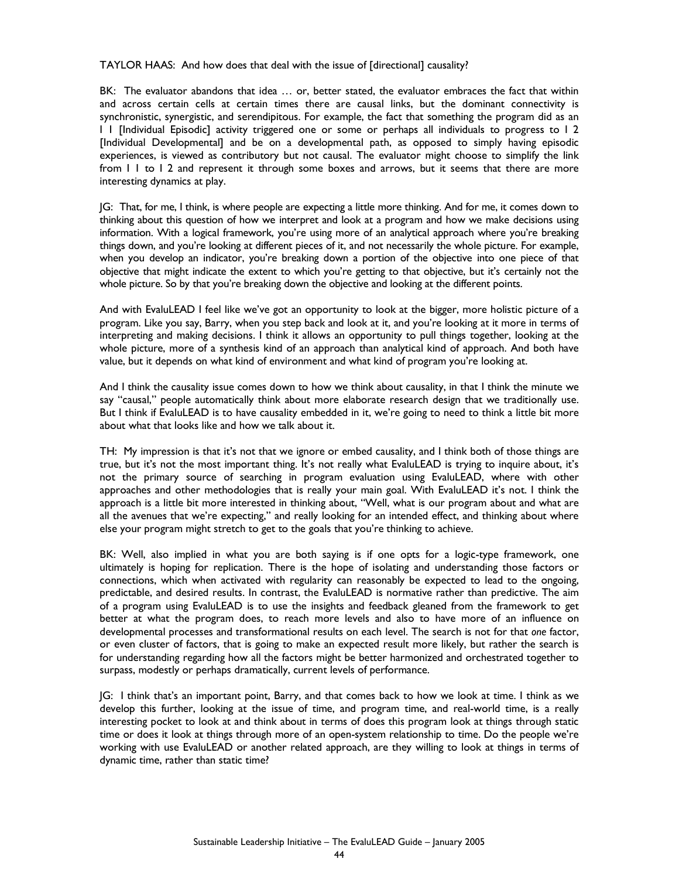TAYLOR HAAS: And how does that deal with the issue of [directional] causality?

BK: The evaluator abandons that idea … or, better stated, the evaluator embraces the fact that within and across certain cells at certain times there are causal links, but the dominant connectivity is synchronistic, synergistic, and serendipitous. For example, the fact that something the program did as an I 1 [Individual Episodic] activity triggered one or some or perhaps all individuals to progress to I 2 [Individual Developmental] and be on a developmental path, as opposed to simply having episodic experiences, is viewed as contributory but not causal. The evaluator might choose to simplify the link from I 1 to I 2 and represent it through some boxes and arrows, but it seems that there are more interesting dynamics at play.

JG: That, for me, I think, is where people are expecting a little more thinking. And for me, it comes down to thinking about this question of how we interpret and look at a program and how we make decisions using information. With a logical framework, you're using more of an analytical approach where you're breaking things down, and you're looking at different pieces of it, and not necessarily the whole picture. For example, when you develop an indicator, you're breaking down a portion of the objective into one piece of that objective that might indicate the extent to which you're getting to that objective, but it's certainly not the whole picture. So by that you're breaking down the objective and looking at the different points.

And with EvaluLEAD I feel like we've got an opportunity to look at the bigger, more holistic picture of a program. Like you say, Barry, when you step back and look at it, and you're looking at it more in terms of interpreting and making decisions. I think it allows an opportunity to pull things together, looking at the whole picture, more of a synthesis kind of an approach than analytical kind of approach. And both have value, but it depends on what kind of environment and what kind of program you're looking at.

And I think the causality issue comes down to how we think about causality, in that I think the minute we say "causal," people automatically think about more elaborate research design that we traditionally use. But I think if EvaluLEAD is to have causality embedded in it, we're going to need to think a little bit more about what that looks like and how we talk about it.

TH: My impression is that it's not that we ignore or embed causality, and I think both of those things are true, but it's not the most important thing. It's not really what EvaluLEAD is trying to inquire about, it's not the primary source of searching in program evaluation using EvaluLEAD, where with other approaches and other methodologies that is really your main goal. With EvaluLEAD it's not. I think the approach is a little bit more interested in thinking about, "Well, what is our program about and what are all the avenues that we're expecting," and really looking for an intended effect, and thinking about where else your program might stretch to get to the goals that you're thinking to achieve.

BK: Well, also implied in what you are both saying is if one opts for a logic-type framework, one ultimately is hoping for replication. There is the hope of isolating and understanding those factors or connections, which when activated with regularity can reasonably be expected to lead to the ongoing, predictable, and desired results. In contrast, the EvaluLEAD is normative rather than predictive. The aim of a program using EvaluLEAD is to use the insights and feedback gleaned from the framework to get better at what the program does, to reach more levels and also to have more of an influence on developmental processes and transformational results on each level. The search is not for that *one* factor, or even cluster of factors, that is going to make an expected result more likely, but rather the search is for understanding regarding how all the factors might be better harmonized and orchestrated together to surpass, modestly or perhaps dramatically, current levels of performance.

JG: I think that's an important point, Barry, and that comes back to how we look at time. I think as we develop this further, looking at the issue of time, and program time, and real-world time, is a really interesting pocket to look at and think about in terms of does this program look at things through static time or does it look at things through more of an open-system relationship to time. Do the people we're working with use EvaluLEAD or another related approach, are they willing to look at things in terms of dynamic time, rather than static time?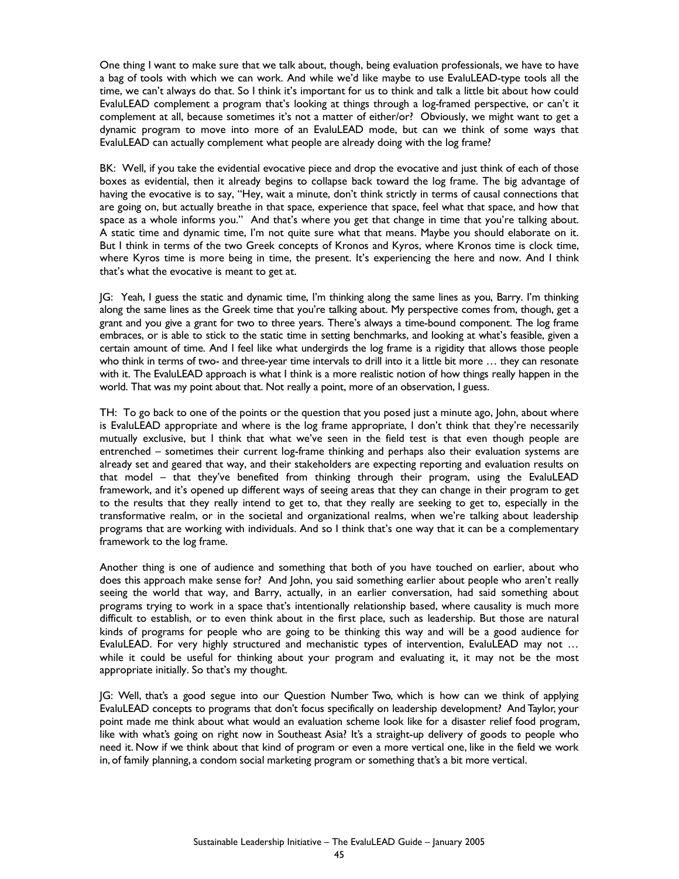One thing I want to make sure that we talk about, though, being evaluation professionals, we have to have a bag of tools with which we can work. And while we'd like maybe to use EvaluLEAD-type tools all the time, we can't always do that. So I think it's important for us to think and talk a little bit about how could EvaluLEAD complement a program that's looking at things through a log-framed perspective, or can't it complement at all, because sometimes it's not a matter of either/or? Obviously, we might want to get a dynamic program to move into more of an EvaluLEAD mode, but can we think of some ways that EvaluLEAD can actually complement what people are already doing with the log frame?

BK: Well, if you take the evidential evocative piece and drop the evocative and just think of each of those boxes as evidential, then it already begins to collapse back toward the log frame. The big advantage of having the evocative is to say, "Hey, wait a minute, don't think strictly in terms of causal connections that are going on, but actually breathe in that space, experience that space, feel what that space, and how that space as a whole informs you." And that's where you get that change in time that you're talking about. A static time and dynamic time, I'm not quite sure what that means. Maybe you should elaborate on it. But I think in terms of the two Greek concepts of Kronos and Kyros, where Kronos time is clock time, where Kyros time is more being in time, the present. It's experiencing the here and now. And I think that's what the evocative is meant to get at.

JG: Yeah, I guess the static and dynamic time, I'm thinking along the same lines as you, Barry. I'm thinking along the same lines as the Greek time that you're talking about. My perspective comes from, though, get a grant and you give a grant for two to three years. There's always a time-bound component. The log frame embraces, or is able to stick to the static time in setting benchmarks, and looking at what's feasible, given a certain amount of time. And I feel like what undergirds the log frame is a rigidity that allows those people who think in terms of two- and three-year time intervals to drill into it a little bit more … they can resonate with it. The EvaluLEAD approach is what I think is a more realistic notion of how things really happen in the world. That was my point about that. Not really a point, more of an observation, I guess.

TH: To go back to one of the points or the question that you posed just a minute ago, John, about where is EvaluLEAD appropriate and where is the log frame appropriate, I don't think that they're necessarily mutually exclusive, but I think that what we've seen in the field test is that even though people are entrenched – sometimes their current log-frame thinking and perhaps also their evaluation systems are already set and geared that way, and their stakeholders are expecting reporting and evaluation results on that model – that they've benefited from thinking through their program, using the EvaluLEAD framework, and it's opened up different ways of seeing areas that they can change in their program to get to the results that they really intend to get to, that they really are seeking to get to, especially in the transformative realm, or in the societal and organizational realms, when we're talking about leadership programs that are working with individuals. And so I think that's one way that it can be a complementary framework to the log frame.

Another thing is one of audience and something that both of you have touched on earlier, about who does this approach make sense for? And John, you said something earlier about people who aren't really seeing the world that way, and Barry, actually, in an earlier conversation, had said something about programs trying to work in a space that's intentionally relationship based, where causality is much more difficult to establish, or to even think about in the first place, such as leadership. But those are natural kinds of programs for people who are going to be thinking this way and will be a good audience for EvaluLEAD. For very highly structured and mechanistic types of intervention, EvaluLEAD may not … while it could be useful for thinking about your program and evaluating it, it may not be the most appropriate initially. So that's my thought.

JG: Well, that's a good segue into our Question Number Two, which is how can we think of applying EvaluLEAD concepts to programs that don't focus specifically on leadership development? And Taylor, your point made me think about what would an evaluation scheme look like for a disaster relief food program, like with what's going on right now in Southeast Asia? It's a straight-up delivery of goods to people who need it. Now if we think about that kind of program or even a more vertical one, like in the field we work in, of family planning, a condom social marketing program or something that's a bit more vertical.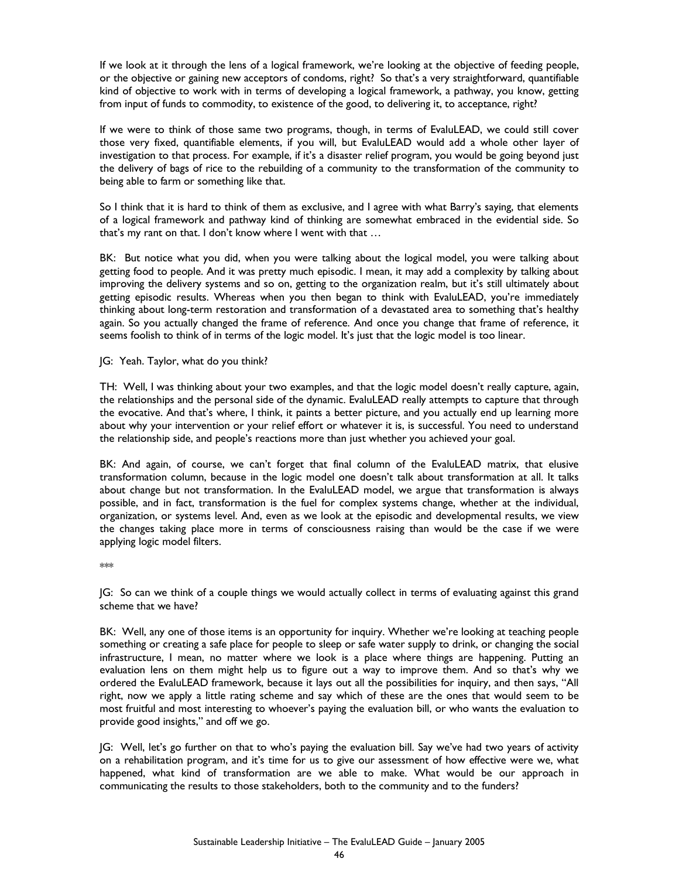If we look at it through the lens of a logical framework, we're looking at the objective of feeding people, or the objective or gaining new acceptors of condoms, right? So that's a very straightforward, quantifiable kind of objective to work with in terms of developing a logical framework, a pathway, you know, getting from input of funds to commodity, to existence of the good, to delivering it, to acceptance, right?

If we were to think of those same two programs, though, in terms of EvaluLEAD, we could still cover those very fixed, quantifiable elements, if you will, but EvaluLEAD would add a whole other layer of investigation to that process. For example, if it's a disaster relief program, you would be going beyond just the delivery of bags of rice to the rebuilding of a community to the transformation of the community to being able to farm or something like that.

So I think that it is hard to think of them as exclusive, and I agree with what Barry's saying, that elements of a logical framework and pathway kind of thinking are somewhat embraced in the evidential side. So that's my rant on that. I don't know where I went with that …

BK: But notice what you did, when you were talking about the logical model, you were talking about getting food to people. And it was pretty much episodic. I mean, it may add a complexity by talking about improving the delivery systems and so on, getting to the organization realm, but it's still ultimately about getting episodic results. Whereas when you then began to think with EvaluLEAD, you're immediately thinking about long-term restoration and transformation of a devastated area to something that's healthy again. So you actually changed the frame of reference. And once you change that frame of reference, it seems foolish to think of in terms of the logic model. It's just that the logic model is too linear.

JG: Yeah. Taylor, what do you think?

TH: Well, I was thinking about your two examples, and that the logic model doesn't really capture, again, the relationships and the personal side of the dynamic. EvaluLEAD really attempts to capture that through the evocative. And that's where, I think, it paints a better picture, and you actually end up learning more about why your intervention or your relief effort or whatever it is, is successful. You need to understand the relationship side, and people's reactions more than just whether you achieved your goal.

BK: And again, of course, we can't forget that final column of the EvaluLEAD matrix, that elusive transformation column, because in the logic model one doesn't talk about transformation at all. It talks about change but not transformation. In the EvaluLEAD model, we argue that transformation is always possible, and in fact, transformation is the fuel for complex systems change, whether at the individual, organization, or systems level. And, even as we look at the episodic and developmental results, we view the changes taking place more in terms of consciousness raising than would be the case if we were applying logic model filters.

\*\*\*

JG: So can we think of a couple things we would actually collect in terms of evaluating against this grand scheme that we have?

BK: Well, any one of those items is an opportunity for inquiry. Whether we're looking at teaching people something or creating a safe place for people to sleep or safe water supply to drink, or changing the social infrastructure, I mean, no matter where we look is a place where things are happening. Putting an evaluation lens on them might help us to figure out a way to improve them. And so that's why we ordered the EvaluLEAD framework, because it lays out all the possibilities for inquiry, and then says, "All right, now we apply a little rating scheme and say which of these are the ones that would seem to be most fruitful and most interesting to whoever's paying the evaluation bill, or who wants the evaluation to provide good insights," and off we go.

JG: Well, let's go further on that to who's paying the evaluation bill. Say we've had two years of activity on a rehabilitation program, and it's time for us to give our assessment of how effective were we, what happened, what kind of transformation are we able to make. What would be our approach in communicating the results to those stakeholders, both to the community and to the funders?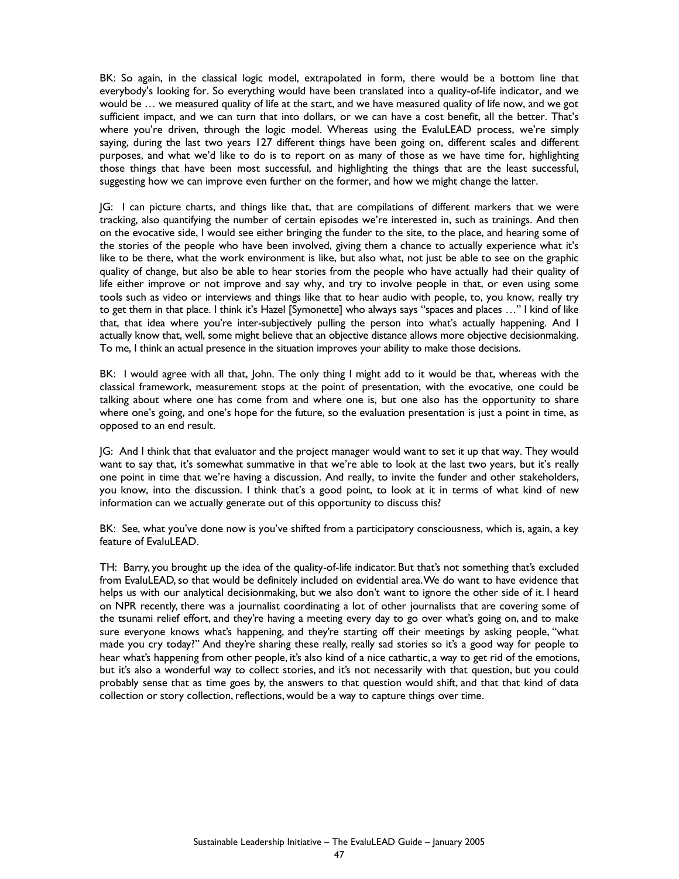BK: So again, in the classical logic model, extrapolated in form, there would be a bottom line that everybody's looking for. So everything would have been translated into a quality-of-life indicator, and we would be … we measured quality of life at the start, and we have measured quality of life now, and we got sufficient impact, and we can turn that into dollars, or we can have a cost benefit, all the better. That's where you're driven, through the logic model. Whereas using the EvaluLEAD process, we're simply saying, during the last two years 127 different things have been going on, different scales and different purposes, and what we'd like to do is to report on as many of those as we have time for, highlighting those things that have been most successful, and highlighting the things that are the least successful, suggesting how we can improve even further on the former, and how we might change the latter.

JG: I can picture charts, and things like that, that are compilations of different markers that we were tracking, also quantifying the number of certain episodes we're interested in, such as trainings. And then on the evocative side, I would see either bringing the funder to the site, to the place, and hearing some of the stories of the people who have been involved, giving them a chance to actually experience what it's like to be there, what the work environment is like, but also what, not just be able to see on the graphic quality of change, but also be able to hear stories from the people who have actually had their quality of life either improve or not improve and say why, and try to involve people in that, or even using some tools such as video or interviews and things like that to hear audio with people, to, you know, really try to get them in that place. I think it's Hazel [Symonette] who always says "spaces and places …" I kind of like that, that idea where you're inter-subjectively pulling the person into what's actually happening. And I actually know that, well, some might believe that an objective distance allows more objective decisionmaking. To me, I think an actual presence in the situation improves your ability to make those decisions.

BK: I would agree with all that, John. The only thing I might add to it would be that, whereas with the classical framework, measurement stops at the point of presentation, with the evocative, one could be talking about where one has come from and where one is, but one also has the opportunity to share where one's going, and one's hope for the future, so the evaluation presentation is just a point in time, as opposed to an end result.

JG: And I think that that evaluator and the project manager would want to set it up that way. They would want to say that, it's somewhat summative in that we're able to look at the last two years, but it's really one point in time that we're having a discussion. And really, to invite the funder and other stakeholders, you know, into the discussion. I think that's a good point, to look at it in terms of what kind of new information can we actually generate out of this opportunity to discuss this?

BK: See, what you've done now is you've shifted from a participatory consciousness, which is, again, a key feature of EvaluLEAD.

TH: Barry, you brought up the idea of the quality-of-life indicator. But that's not something that's excluded from EvaluLEAD, so that would be definitely included on evidential area. We do want to have evidence that helps us with our analytical decisionmaking, but we also don't want to ignore the other side of it. I heard on NPR recently, there was a journalist coordinating a lot of other journalists that are covering some of the tsunami relief effort, and they're having a meeting every day to go over what's going on, and to make sure everyone knows what's happening, and they're starting off their meetings by asking people, "what made you cry today?" And they're sharing these really, really sad stories so it's a good way for people to hear what's happening from other people, it's also kind of a nice cathartic, a way to get rid of the emotions, but it's also a wonderful way to collect stories, and it's not necessarily with that question, but you could probably sense that as time goes by, the answers to that question would shift, and that that kind of data collection or story collection, reflections, would be a way to capture things over time.